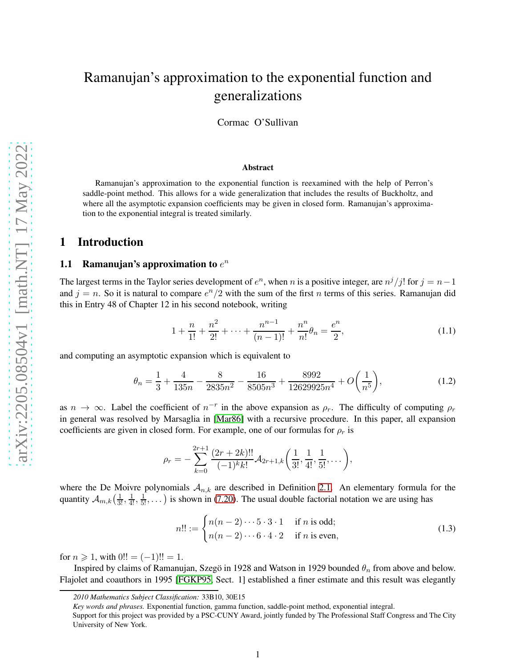# Ramanujan's approximation to the exponential function and generalizations

Cormac O'Sullivan

#### Abstract

Ramanujan's approximation to the exponential function is reexamined with the help of Perron's saddle-point method. This allows for a wide generalization that includes the results of Buckholtz, and where all the asymptotic expansion coefficients may be given in closed form. Ramanujan's approximation to the exponential integral is treated similarly.

#### 1 Introduction

#### 1.1 Ramanujan's approximation to  $e^n$

The largest terms in the Taylor series development of  $e^n$ , when n is a positive integer, are  $n^j/j!$  for  $j = n - 1$ and  $j = n$ . So it is natural to compare  $e^{n}/2$  with the sum of the first n terms of this series. Ramanujan did this in Entry 48 of Chapter 12 in his second notebook, writing

<span id="page-0-0"></span>
$$
1 + \frac{n}{1!} + \frac{n^2}{2!} + \dots + \frac{n^{n-1}}{(n-1)!} + \frac{n^n}{n!} \theta_n = \frac{e^n}{2},\tag{1.1}
$$

and computing an asymptotic expansion which is equivalent to

<span id="page-0-2"></span>
$$
\theta_n = \frac{1}{3} + \frac{4}{135n} - \frac{8}{2835n^2} - \frac{16}{8505n^3} + \frac{8992}{12629925n^4} + O\left(\frac{1}{n^5}\right),\tag{1.2}
$$

as  $n \to \infty$ . Label the coefficient of  $n^{-r}$  in the above expansion as  $\rho_r$ . The difficulty of computing  $\rho_r$ in general was resolved by Marsaglia in [\[Mar86\]](#page-17-0) with a recursive procedure. In this paper, all expansion coefficients are given in closed form. For example, one of our formulas for  $\rho_r$  is

$$
\rho_r = -\sum_{k=0}^{2r+1} \frac{(2r+2k)!!}{(-1)^k k!} \mathcal{A}_{2r+1,k}\left(\frac{1}{3!}, \frac{1}{4!}, \frac{1}{5!}, \dots\right),
$$

where the De Moivre polynomials  $A_{n,k}$  are described in Definition [2.1.](#page-2-0) An elementary formula for the quantity  $\mathcal{A}_{m,k}(\frac{1}{3!},\frac{1}{4!},\frac{1}{5!},\dots)$  is shown in [\(7.20\)](#page-13-0). The usual double factorial notation we are using has

<span id="page-0-1"></span>
$$
n!! := \begin{cases} n(n-2)\cdots 5\cdot 3\cdot 1 & \text{if } n \text{ is odd;} \\ n(n-2)\cdots 6\cdot 4\cdot 2 & \text{if } n \text{ is even,} \end{cases}
$$
 (1.3)

for  $n \ge 1$ , with  $0!! = (-1)!! = 1$ .

Inspired by claims of Ramanujan, Szegö in 1928 and Watson in 1929 bounded  $\theta_n$  from above and below. Flajolet and coauthors in 1995 [\[FGKP95,](#page-17-1) Sect. 1] established a finer estimate and this result was elegantly

*<sup>2010</sup> Mathematics Subject Classification:* 33B10, 30E15

*Key words and phrases.* Exponential function, gamma function, saddle-point method, exponential integral.

Support for this project was provided by a PSC-CUNY Award, jointly funded by The Professional Staff Congress and The City University of New York.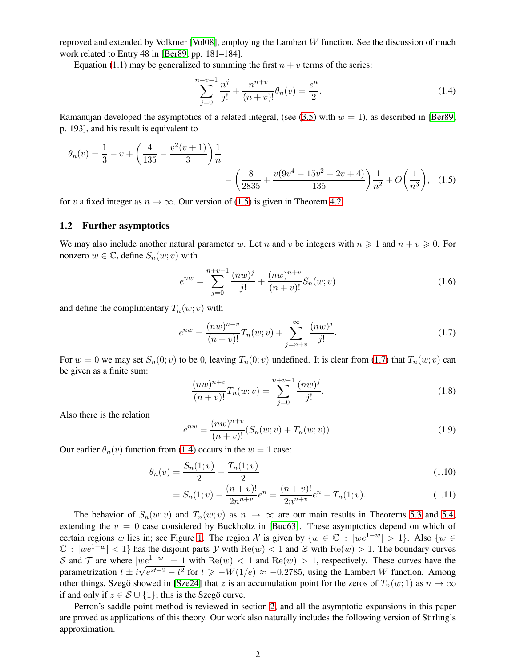reproved and extended by Volkmer [\[Vol08\]](#page-17-2), employing the Lambert  $W$  function. See the discussion of much work related to Entry 48 in [\[Ber89,](#page-17-3) pp. 181–184].

Equation [\(1.1\)](#page-0-0) may be generalized to summing the first  $n + v$  terms of the series:

<span id="page-1-2"></span><span id="page-1-0"></span>
$$
\sum_{j=0}^{n+v-1} \frac{n^j}{j!} + \frac{n^{n+v}}{(n+v)!} \theta_n(v) = \frac{e^n}{2}.
$$
 (1.4)

Ramanujan developed the asymptotics of a related integral, (see [\(3.5\)](#page-4-0) with  $w = 1$ ), as described in [\[Ber89,](#page-17-3) p. 193], and his result is equivalent to

$$
\theta_n(v) = \frac{1}{3} - v + \left(\frac{4}{135} - \frac{v^2(v+1)}{3}\right) \frac{1}{n} - \left(\frac{8}{2835} + \frac{v(9v^4 - 15v^2 - 2v + 4)}{135}\right) \frac{1}{n^2} + O\left(\frac{1}{n^3}\right), \quad (1.5)
$$

for v a fixed integer as  $n \to \infty$ . Our version of [\(1.5\)](#page-1-0) is given in Theorem [4.2.](#page-6-0)

#### 1.2 Further asymptotics

We may also include another natural parameter w. Let n and v be integers with  $n \geq 1$  and  $n + v \geq 0$ . For nonzero  $w \in \mathbb{C}$ , define  $S_n(w; v)$  with

<span id="page-1-3"></span>
$$
e^{nw} = \sum_{j=0}^{n+v-1} \frac{(nw)^j}{j!} + \frac{(nw)^{n+v}}{(n+v)!} S_n(w; v)
$$
 (1.6)

and define the complimentary  $T_n(w; v)$  with

<span id="page-1-1"></span>
$$
e^{nw} = \frac{(nw)^{n+v}}{(n+v)!}T_n(w; v) + \sum_{j=n+v}^{\infty} \frac{(nw)^j}{j!}.
$$
 (1.7)

For  $w = 0$  we may set  $S_n(0; v)$  to be 0, leaving  $T_n(0; v)$  undefined. It is clear from [\(1.7\)](#page-1-1) that  $T_n(w; v)$  can be given as a finite sum:

<span id="page-1-4"></span>
$$
\frac{(nw)^{n+v}}{(n+v)!}T_n(w;v) = \sum_{j=0}^{n+v-1} \frac{(nw)^j}{j!}.
$$
\n(1.8)

Also there is the relation

<span id="page-1-7"></span><span id="page-1-6"></span><span id="page-1-5"></span>
$$
e^{nw} = \frac{(nw)^{n+v}}{(n+v)!} (S_n(w; v) + T_n(w; v)).
$$
\n(1.9)

Our earlier  $\theta_n(v)$  function from [\(1.4\)](#page-1-2) occurs in the  $w = 1$  case:

$$
\theta_n(v) = \frac{S_n(1;v)}{2} - \frac{T_n(1;v)}{2} \tag{1.10}
$$

$$
= S_n(1;v) - \frac{(n+v)!}{2n^{n+v}}e^n = \frac{(n+v)!}{2n^{n+v}}e^n - T_n(1;v).
$$
\n(1.11)

The behavior of  $S_n(w; v)$  and  $T_n(w; v)$  as  $n \to \infty$  are our main results in Theorems [5.3](#page-8-0) and [5.4,](#page-9-0) extending the  $v = 0$  case considered by Buckholtz in [\[Buc63\]](#page-17-4). These asymptotics depend on which of certain regions w lies in; see Figure [1.](#page-2-1) The region X is given by  $\{w \in \mathbb{C} : |we^{1-w}| > 1\}$ . Also  $\{w \in \mathbb{C} : |we^{1-w}| > 1\}$ .  $\mathbb{C}: |we^{1-w}| < 1$  has the disjoint parts Y with  $\text{Re}(w) < 1$  and Z with  $\text{Re}(w) > 1$ . The boundary curves S and T are where  $|we^{1-w}| = 1$  with  $\text{Re}(w) < 1$  and  $\text{Re}(w) > 1$ , respectively. These curves have the parametrization  $t \pm i\sqrt{e^{2t-2}-t^2}$  for  $t \geq -W(1/e) \approx -0.2785$ , using the Lambert W function. Among other things, Szegö showed in [\[Sze24\]](#page-17-5) that z is an accumulation point for the zeros of  $T_n(w; 1)$  as  $n \to \infty$ if and only if  $z \in S \cup \{1\}$ ; this is the Szegö curve.

Perron's saddle-point method is reviewed in section [2,](#page-2-2) and all the asymptotic expansions in this paper are proved as applications of this theory. Our work also naturally includes the following version of Stirling's approximation.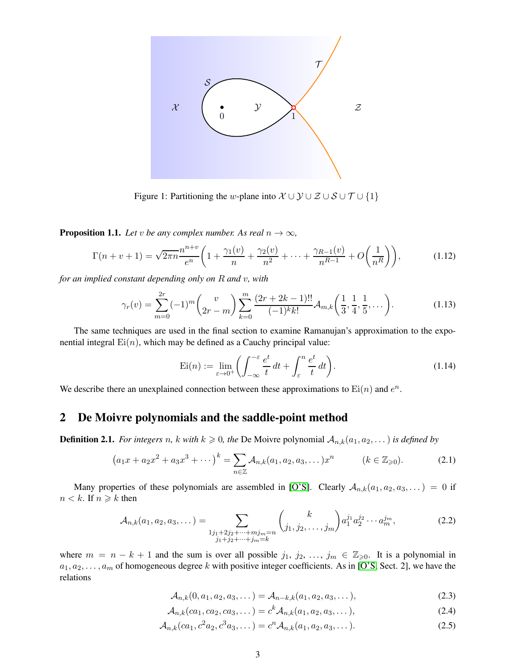

<span id="page-2-1"></span>Figure 1: Partitioning the w-plane into  $\mathcal{X} \cup \mathcal{Y} \cup \mathcal{Z} \cup \mathcal{S} \cup \mathcal{T} \cup \{1\}$ 

<span id="page-2-3"></span>**Proposition 1.1.** *Let v be any complex number. As real*  $n \to \infty$ *,* 

<span id="page-2-7"></span>
$$
\Gamma(n+v+1) = \sqrt{2\pi n} \frac{n^{n+v}}{e^n} \left( 1 + \frac{\gamma_1(v)}{n} + \frac{\gamma_2(v)}{n^2} + \dots + \frac{\gamma_{R-1}(v)}{n^{R-1}} + O\left(\frac{1}{n^R}\right) \right),\tag{1.12}
$$

*for an implied constant depending only on* R *and* v*, with*

<span id="page-2-6"></span>
$$
\gamma_r(v) = \sum_{m=0}^{2r} (-1)^m {v \choose 2r-m} \sum_{k=0}^m \frac{(2r+2k-1)!!}{(-1)^k k!} \mathcal{A}_{m,k} \left( \frac{1}{3}, \frac{1}{4}, \frac{1}{5}, \dots \right). \tag{1.13}
$$

The same techniques are used in the final section to examine Ramanujan's approximation to the exponential integral  $Ei(n)$ , which may be defined as a Cauchy principal value:

<span id="page-2-10"></span>
$$
\operatorname{Ei}(n) := \lim_{\varepsilon \to 0^+} \left( \int_{-\infty}^{-\varepsilon} \frac{e^t}{t} dt + \int_{\varepsilon}^n \frac{e^t}{t} dt \right). \tag{1.14}
$$

We describe there an unexplained connection between these approximations to  $Ei(n)$  and  $e^n$ .

#### <span id="page-2-2"></span>2 De Moivre polynomials and the saddle-point method

<span id="page-2-0"></span>**Definition 2.1.** *For integers n, k with*  $k \ge 0$ *, the* De Moivre polynomial  $A_{n,k}(a_1, a_2, \ldots)$  *is defined by* 

$$
(a_1x + a_2x^2 + a_3x^3 + \cdots)^k = \sum_{n \in \mathbb{Z}} \mathcal{A}_{n,k}(a_1, a_2, a_3, \dots) x^n \qquad (k \in \mathbb{Z}_{\geqslant 0}).
$$
 (2.1)

Many properties of these polynomials are assembled in [\[O'S\]](#page-17-6). Clearly  $A_{n,k}(a_1, a_2, a_3, ...) = 0$  if  $n < k$ . If  $n \geq k$  then

<span id="page-2-8"></span>
$$
\mathcal{A}_{n,k}(a_1, a_2, a_3, \dots) = \sum_{\substack{1j_1+2j_2+\dots+mj_m=n\\j_1+j_2+\dots+j_m=k}} \binom{k}{j_1, j_2, \dots, j_m} a_1^{j_1} a_2^{j_2} \cdots a_m^{j_m},
$$
\n(2.2)

where  $m = n - k + 1$  and the sum is over all possible  $j_1, j_2, ..., j_m \in \mathbb{Z}_{\geqslant 0}$ . It is a polynomial in  $a_1, a_2, \ldots, a_m$  of homogeneous degree k with positive integer coefficients. As in [\[O'S,](#page-17-6) Sect. 2], we have the relations

<span id="page-2-9"></span><span id="page-2-5"></span><span id="page-2-4"></span>
$$
\mathcal{A}_{n,k}(0, a_1, a_2, a_3, \dots) = \mathcal{A}_{n-k,k}(a_1, a_2, a_3, \dots),
$$
\n(2.3)

$$
\mathcal{A}_{n,k}(ca_1, ca_2, ca_3, \dots) = c^k \mathcal{A}_{n,k}(a_1, a_2, a_3, \dots),
$$
\n(2.4)

$$
\mathcal{A}_{n,k}(ca_1, c^2a_2, c^3a_3, \dots) = c^n \mathcal{A}_{n,k}(a_1, a_2, a_3, \dots). \tag{2.5}
$$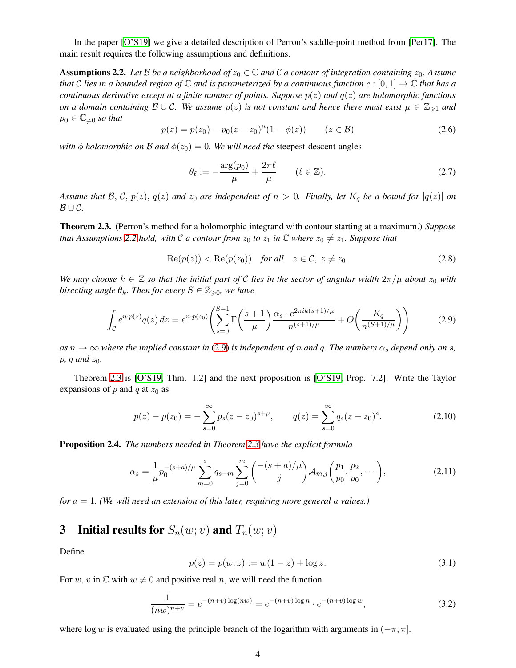In the paper [\[O'S19\]](#page-17-7) we give a detailed description of Perron's saddle-point method from [\[Per17\]](#page-17-8). The main result requires the following assumptions and definitions.

<span id="page-3-0"></span>**Assumptions 2.2.** Let B be a neighborhood of  $z_0 \in \mathbb{C}$  and C a contour of integration containing  $z_0$ . Assume *that* C lies in a bounded region of  $\mathbb C$  and is parameterized by a continuous function  $c : [0,1] \to \mathbb C$  *that has a continuous derivative except at a finite number of points. Suppose*  $p(z)$  *and*  $q(z)$  *are holomorphic functions on a domain containing*  $\mathcal{B} \cup \mathcal{C}$ *. We assume*  $p(z)$  *is not constant and hence there must exist*  $\mu \in \mathbb{Z}_{\geq 1}$  *and*  $p_0 \in \mathbb{C}_{\neq 0}$  *so that* 

$$
p(z) = p(z_0) - p_0(z - z_0)^{\mu} (1 - \phi(z)) \qquad (z \in \mathcal{B})
$$
 (2.6)

*with*  $\phi$  *holomorphic on*  $\beta$  *and*  $\phi(z_0) = 0$ *. We will need the* steepest-descent angles

$$
\theta_{\ell} := -\frac{\arg(p_0)}{\mu} + \frac{2\pi\ell}{\mu} \qquad (\ell \in \mathbb{Z}).\tag{2.7}
$$

*Assume that*  $\mathcal{B}, \mathcal{C}, p(z), q(z)$  *and*  $z_0$  *are independent of*  $n > 0$ *. Finally, let*  $K_q$  *be a bound for*  $|q(z)|$  *on* B ∪ C*.*

<span id="page-3-2"></span>Theorem 2.3. (Perron's method for a holomorphic integrand with contour starting at a maximum.) *Suppose that Assumptions* [2.2](#page-3-0) *hold, with* C *a contour from*  $z_0$  *to*  $z_1$  *in*  $\mathbb C$  *where*  $z_0 \neq z_1$ *. Suppose that* 

$$
Re(p(z)) < Re(p(z_0)) \quad for all \quad z \in \mathcal{C}, \ z \neq z_0.
$$
 (2.8)

*We may choose*  $k \in \mathbb{Z}$  *so that the initial part of* C *lies in the sector of angular width*  $2\pi/\mu$  *about*  $z_0$  *with bisecting angle*  $\theta_k$ *. Then for every*  $S \in \mathbb{Z}_{\geqslant 0}$ *, we have* 

<span id="page-3-1"></span>
$$
\int_{\mathcal{C}} e^{n \cdot p(z)} q(z) dz = e^{n \cdot p(z_0)} \left( \sum_{s=0}^{S-1} \Gamma\left(\frac{s+1}{\mu}\right) \frac{\alpha_s \cdot e^{2\pi i k (s+1)/\mu}}{n^{(s+1)/\mu}} + O\left(\frac{K_q}{n^{(S+1)/\mu}}\right) \right) \tag{2.9}
$$

 $as n \to \infty$  *where the implied constant in* [\(2.9\)](#page-3-1) *is independent of* n *and* q. The numbers  $\alpha_s$  *depend only on* s,  $p, q$  and  $z_0$ *.* 

Theorem [2.3](#page-3-2) is [\[O'S19,](#page-17-7) Thm. 1.2] and the next proposition is [\[O'S19,](#page-17-7) Prop. 7.2]. Write the Taylor expansions of p and q at  $z_0$  as

<span id="page-3-3"></span>
$$
p(z) - p(z_0) = -\sum_{s=0}^{\infty} p_s (z - z_0)^{s + \mu}, \qquad q(z) = \sum_{s=0}^{\infty} q_s (z - z_0)^s.
$$
 (2.10)

<span id="page-3-4"></span>Proposition 2.4. *The numbers needed in Theorem [2.3](#page-3-2) have the explicit formula*

<span id="page-3-5"></span>
$$
\alpha_s = \frac{1}{\mu} p_0^{-(s+a)/\mu} \sum_{m=0}^s q_{s-m} \sum_{j=0}^m \binom{-(s+a)/\mu}{j} A_{m,j} \left(\frac{p_1}{p_0}, \frac{p_2}{p_0}, \dots\right),\tag{2.11}
$$

*for* a = 1*. (We will need an extension of this later, requiring more general* a *values.)*

## 3 Initial results for  $S_n(w; v)$  and  $T_n(w; v)$

Define

$$
p(z) = p(w; z) := w(1 - z) + \log z.
$$
\n(3.1)

For w, v in  $\mathbb C$  with  $w \neq 0$  and positive real n, we will need the function

$$
\frac{1}{(nw)^{n+v}} = e^{-(n+v)\log(nw)} = e^{-(n+v)\log n} \cdot e^{-(n+v)\log w},
$$
\n(3.2)

where log w is evaluated using the principle branch of the logarithm with arguments in  $(-\pi, \pi]$ .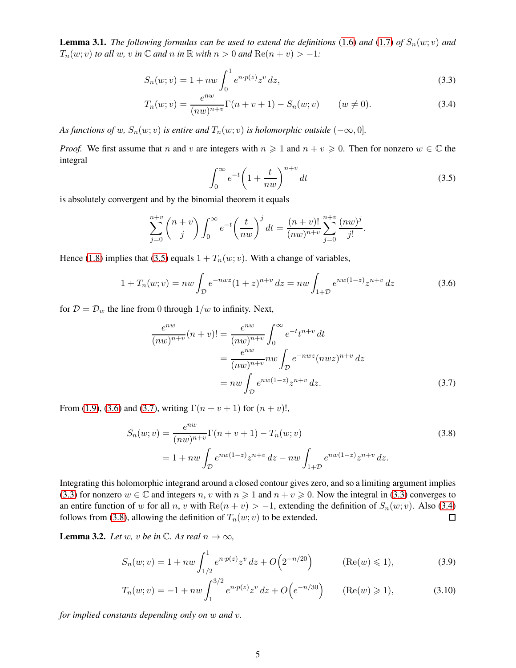<span id="page-4-6"></span>**Lemma 3.1.** *The following formulas can be used to extend the definitions* [\(1.6\)](#page-1-3) *and* [\(1.7\)](#page-1-1) *of*  $S_n(w; v)$  *and*  $T_n(w; v)$  *to all* w, v in  $\mathbb C$  *and* n in  $\mathbb R$  *with*  $n > 0$  *and*  $\text{Re}(n + v) > -1$ *:* 

$$
S_n(w; v) = 1 + nw \int_0^1 e^{n \cdot p(z)} z^v dz,
$$
\n(3.3)

$$
T_n(w; v) = \frac{e^{nw}}{(nw)^{n+v}} \Gamma(n+v+1) - S_n(w; v) \qquad (w \neq 0).
$$
 (3.4)

*As functions of* w,  $S_n(w; v)$  *is entire and*  $T_n(w; v)$  *is holomorphic outside*  $(-\infty, 0]$ *.* 

*Proof.* We first assume that n and v are integers with  $n \ge 1$  and  $n + v \ge 0$ . Then for nonzero  $w \in \mathbb{C}$  the integral

<span id="page-4-4"></span><span id="page-4-3"></span><span id="page-4-0"></span>
$$
\int_0^\infty e^{-t} \left(1 + \frac{t}{nw}\right)^{n+v} dt
$$
\n(3.5)

is absolutely convergent and by the binomial theorem it equals

$$
\sum_{j=0}^{n+v} \binom{n+v}{j} \int_0^\infty e^{-t} \left(\frac{t}{nw}\right)^j dt = \frac{(n+v)!}{(nw)^{n+v}} \sum_{j=0}^{n+v} \frac{(nw)^j}{j!}.
$$

Hence [\(1.8\)](#page-1-4) implies that [\(3.5\)](#page-4-0) equals  $1 + T_n(w; v)$ . With a change of variables,

<span id="page-4-1"></span>
$$
1 + T_n(w; v) = nw \int_{\mathcal{D}} e^{-nwz} (1+z)^{n+v} dz = nw \int_{1+\mathcal{D}} e^{nw(1-z)} z^{n+v} dz
$$
 (3.6)

for  $D = D_w$  the line from 0 through  $1/w$  to infinity. Next,

<span id="page-4-5"></span><span id="page-4-2"></span>
$$
\frac{e^{nw}}{(nw)^{n+v}}(n+v)! = \frac{e^{nw}}{(nw)^{n+v}} \int_0^\infty e^{-t}t^{n+v} dt
$$

$$
= \frac{e^{nw}}{(nw)^{n+v}} n w \int_{\mathcal{D}} e^{-nwz} (nwz)^{n+v} dz
$$

$$
= nw \int_{\mathcal{D}} e^{nw(1-z)} z^{n+v} dz.
$$
(3.7)

From [\(1.9\)](#page-1-5), [\(3.6\)](#page-4-1) and [\(3.7\)](#page-4-2), writing  $\Gamma(n + v + 1)$  for  $(n + v)!$ ,

$$
S_n(w; v) = \frac{e^{nw}}{(nw)^{n+v}} \Gamma(n+v+1) - T_n(w; v)
$$
  
= 1 + nw  $\int_{\mathcal{D}} e^{nw(1-z)} z^{n+v} dz - nw \int_{1+\mathcal{D}} e^{nw(1-z)} z^{n+v} dz.$  (3.8)

Integrating this holomorphic integrand around a closed contour gives zero, and so a limiting argument implies [\(3.3\)](#page-4-3) for nonzero  $w \in \mathbb{C}$  and integers n, v with  $n \geq 1$  and  $n + v \geq 0$ . Now the integral in (3.3) converges to an entire function of w for all n, v with Re(n + v) > −1, extending the definition of  $S_n(w; v)$ . Also [\(3.4\)](#page-4-4) follows from (3.8), allowing the definition of  $T_n(w; v)$  to be extended. follows from [\(3.8\)](#page-4-5), allowing the definition of  $T_n(w; v)$  to be extended.

<span id="page-4-9"></span>**Lemma 3.2.** *Let* w, v *be* in  $\mathbb{C}$ *. As real*  $n \to \infty$ *,* 

<span id="page-4-7"></span>
$$
S_n(w; v) = 1 + nw \int_{1/2}^1 e^{n \cdot p(z)} z^v \, dz + O\Big(2^{-n/20}\Big) \qquad (\text{Re}(w) \leq 1), \tag{3.9}
$$

<span id="page-4-8"></span>
$$
T_n(w; v) = -1 + nw \int_1^{3/2} e^{n \cdot p(z)} z^v dz + O(e^{-n/30}) \qquad (\text{Re}(w) \ge 1), \tag{3.10}
$$

*for implied constants depending only on* w *and* v*.*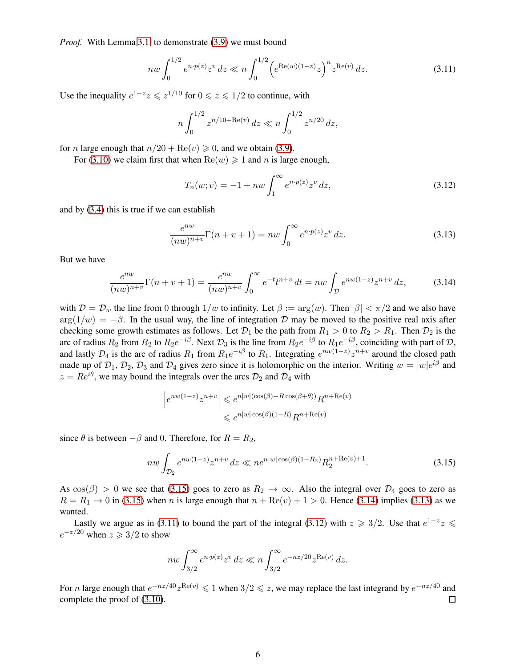*Proof.* With Lemma [3.1,](#page-4-6) to demonstrate [\(3.9\)](#page-4-7) we must bound

<span id="page-5-3"></span>
$$
nw \int_0^{1/2} e^{n \cdot p(z)} z^v \, dz \ll n \int_0^{1/2} \left( e^{\text{Re}(w)(1-z)} z \right)^n z^{\text{Re}(v)} \, dz. \tag{3.11}
$$

Use the inequality  $e^{1-z}z \leqslant z^{1/10}$  for  $0 \leqslant z \leqslant 1/2$  to continue, with

$$
n\int_0^{1/2} z^{n/10 + \text{Re}(v)} dz \ll n \int_0^{1/2} z^{n/20} dz,
$$

for *n* large enough that  $n/20 + \text{Re}(v) \ge 0$ , and we obtain [\(3.9\)](#page-4-7).

For [\(3.10\)](#page-4-8) we claim first that when  $\text{Re}(w) \ge 1$  and n is large enough,

<span id="page-5-4"></span>
$$
T_n(w; v) = -1 + nw \int_1^{\infty} e^{n \cdot p(z)} z^v dz,
$$
\n(3.12)

and by [\(3.4\)](#page-4-4) this is true if we can establish

<span id="page-5-2"></span>
$$
\frac{e^{nw}}{(nw)^{n+v}}\Gamma(n+v+1) = nw \int_0^\infty e^{n\cdot p(z)} z^v dz.
$$
\n(3.13)

But we have

<span id="page-5-1"></span>
$$
\frac{e^{nw}}{(nw)^{n+v}}\Gamma(n+v+1) = \frac{e^{nw}}{(nw)^{n+v}}\int_0^\infty e^{-t}t^{n+v} dt = nw \int_{\mathcal{D}} e^{nw(1-z)}z^{n+v} dz,
$$
 (3.14)

with  $\mathcal{D} = \mathcal{D}_w$  the line from 0 through  $1/w$  to infinity. Let  $\beta := \arg(w)$ . Then  $|\beta| < \pi/2$  and we also have  $arg(1/w) = -\beta$ . In the usual way, the line of integration D may be moved to the positive real axis after checking some growth estimates as follows. Let  $\mathcal{D}_1$  be the path from  $R_1 > 0$  to  $R_2 > R_1$ . Then  $\mathcal{D}_2$  is the arc of radius  $R_2$  from  $R_2$  to  $R_2e^{-i\beta}$ . Next  $\mathcal{D}_3$  is the line from  $R_2e^{-i\beta}$  to  $R_1e^{-i\beta}$ , coinciding with part of  $\mathcal{D}$ , and lastly  $\mathcal{D}_4$  is the arc of radius  $R_1$  from  $R_1e^{-i\beta}$  to  $R_1$ . Integrating  $e^{nw(1-z)}z^{n+v}$  around the closed path made up of  $\mathcal{D}_1$ ,  $\mathcal{D}_2$ ,  $\mathcal{D}_3$  and  $\mathcal{D}_4$  gives zero since it is holomorphic on the interior. Writing  $w = |w|e^{i\beta}$  and  $z = Re^{i\theta}$ , we may bound the integrals over the arcs  $\mathcal{D}_2$  and  $\mathcal{D}_4$  with

$$
\left| e^{nw(1-z)} z^{n+v} \right| \leqslant e^{n|w|(\cos(\beta) - R\cos(\beta + \theta))} R^{n + \text{Re}(v)}
$$
  

$$
\leqslant e^{n|w| \cos(\beta)(1-R)} R^{n + \text{Re}(v)}
$$

since  $\theta$  is between  $-\beta$  and 0. Therefore, for  $R = R_2$ ,

<span id="page-5-0"></span>
$$
nw \int_{\mathcal{D}_2} e^{nw(1-z)} z^{n+v} dz \ll n e^{n|w|\cos(\beta)(1-R_2)} R_2^{n+\text{Re}(v)+1}.
$$
 (3.15)

As  $cos(\beta) > 0$  we see that [\(3.15\)](#page-5-0) goes to zero as  $R_2 \to \infty$ . Also the integral over  $\mathcal{D}_4$  goes to zero as  $R = R_1 \rightarrow 0$  in [\(3.15\)](#page-5-0) when n is large enough that  $n + \text{Re}(v) + 1 > 0$ . Hence [\(3.14\)](#page-5-1) implies [\(3.13\)](#page-5-2) as we wanted.

Lastly we argue as in [\(3.11\)](#page-5-3) to bound the part of the integral [\(3.12\)](#page-5-4) with  $z \geq 3/2$ . Use that  $e^{1-z}z \leq$  $e^{-z/20}$  when  $z \geqslant 3/2$  to show

$$
nw \int_{3/2}^{\infty} e^{n \cdot p(z)} z^v \, dz \ll n \int_{3/2}^{\infty} e^{-nz/20} z^{\text{Re}(v)} \, dz.
$$

For *n* large enough that  $e^{-nz/40}z^{\text{Re}(v)} \leq 1$  when  $3/2 \leq z$ , we may replace the last integrand by  $e^{-nz/40}$  and complete the proof of [\(3.10\)](#page-4-8).  $\Box$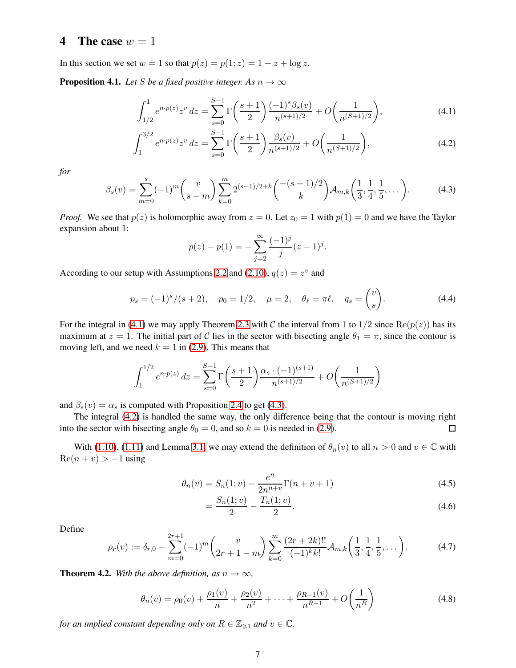#### <span id="page-6-10"></span>4 The case  $w = 1$

In this section we set  $w = 1$  so that  $p(z) = p(1; z) = 1 - z + \log z$ .

<span id="page-6-4"></span>**Proposition 4.1.** *Let* S *be a fixed positive integer.* As  $n \to \infty$ 

$$
\int_{1/2}^{1} e^{n \cdot p(z)} z^v \, dz = \sum_{s=0}^{S-1} \Gamma\left(\frac{s+1}{2}\right) \frac{(-1)^s \beta_s(v)}{n^{(s+1)/2}} + O\left(\frac{1}{n^{(S+1)/2}}\right),\tag{4.1}
$$

$$
\int_{1}^{3/2} e^{n \cdot p(z)} z^v \, dz = \sum_{s=0}^{S-1} \Gamma\left(\frac{s+1}{2}\right) \frac{\beta_s(v)}{n^{(s+1)/2}} + O\left(\frac{1}{n^{(S+1)/2}}\right),\tag{4.2}
$$

*for*

<span id="page-6-2"></span>
$$
\beta_s(v) = \sum_{m=0}^s (-1)^m {v \choose s-m} \sum_{k=0}^m 2^{(s-1)/2+k} {-s+1/2 \choose k} \mathcal{A}_{m,k} \left( \frac{1}{3}, \frac{1}{4}, \frac{1}{5}, \dots \right). \tag{4.3}
$$

*Proof.* We see that  $p(z)$  is holomorphic away from  $z = 0$ . Let  $z_0 = 1$  with  $p(1) = 0$  and we have the Taylor expansion about 1:

<span id="page-6-3"></span><span id="page-6-1"></span>
$$
p(z) - p(1) = -\sum_{j=2}^{\infty} \frac{(-1)^j}{j} (z - 1)^j.
$$

According to our setup with Assumptions [2.2](#page-3-0) and [\(2.10\)](#page-3-3),  $q(z) = z^v$  and

<span id="page-6-6"></span>
$$
p_s = (-1)^s / (s+2), \quad p_0 = 1/2, \quad \mu = 2, \quad \theta_\ell = \pi \ell, \quad q_s = \begin{pmatrix} v \\ s \end{pmatrix}.
$$
 (4.4)

For the integral in [\(4.1\)](#page-6-1) we may apply Theorem [2.3](#page-3-2) with C the interval from 1 to  $1/2$  since  $\text{Re}(p(z))$  has its maximum at  $z = 1$ . The initial part of C lies in the sector with bisecting angle  $\theta_1 = \pi$ , since the contour is moving left, and we need  $k = 1$  in [\(2.9\)](#page-3-1). This means that

$$
\int_{1}^{1/2} e^{n \cdot p(z)} dz = \sum_{s=0}^{S-1} \Gamma\left(\frac{s+1}{2}\right) \frac{\alpha_s \cdot (-1)^{(s+1)}}{n^{(s+1)/2}} + O\left(\frac{1}{n^{(S+1)/2}}\right)
$$

and  $\beta_s(v) = \alpha_s$  is computed with Proposition [2.4](#page-3-4) to get [\(4.3\)](#page-6-2).

The integral [\(4.2\)](#page-6-3) is handled the same way, the only difference being that the contour is moving right into the sector with bisecting angle  $\theta_0 = 0$ , and so  $k = 0$  is needed in [\(2.9\)](#page-3-1).  $\Box$ 

With [\(1.10\)](#page-1-6), [\(1.11\)](#page-1-7) and Lemma [3.1,](#page-4-6) we may extend the definition of  $\theta_n(v)$  to all  $n > 0$  and  $v \in \mathbb{C}$  with  $\text{Re}(n + v) > -1$  using

$$
\theta_n(v) = S_n(1; v) - \frac{e^n}{2n^{n+v}} \Gamma(n+v+1)
$$
\n(4.5)

<span id="page-6-8"></span><span id="page-6-5"></span>
$$
=\frac{S_n(1;v)}{2}-\frac{T_n(1;v)}{2}.
$$
\n(4.6)

Define

<span id="page-6-7"></span>
$$
\rho_r(v) := \delta_{r,0} - \sum_{m=0}^{2r+1} (-1)^m \binom{v}{2r+1-m} \sum_{k=0}^m \frac{(2r+2k)!!}{(-1)^k k!} \mathcal{A}_{m,k} \left( \frac{1}{3}, \frac{1}{4}, \frac{1}{5}, \dots \right). \tag{4.7}
$$

<span id="page-6-0"></span>**Theorem 4.2.** *With the above definition, as*  $n \to \infty$ *,* 

<span id="page-6-9"></span>
$$
\theta_n(v) = \rho_0(v) + \frac{\rho_1(v)}{n} + \frac{\rho_2(v)}{n^2} + \dots + \frac{\rho_{R-1}(v)}{n^{R-1}} + O\left(\frac{1}{n^R}\right)
$$
\n(4.8)

*for an implied constant depending only on*  $R \in \mathbb{Z}_{\geq 1}$  *and*  $v \in \mathbb{C}$ *.*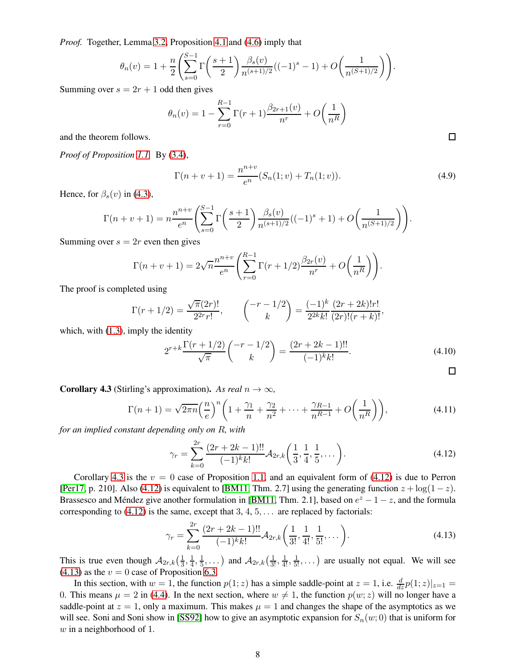*Proof.* Together, Lemma [3.2,](#page-4-9) Proposition [4.1](#page-6-4) and [\(4.6\)](#page-6-5) imply that

$$
\theta_n(v) = 1 + \frac{n}{2} \left( \sum_{s=0}^{S-1} \Gamma\left(\frac{s+1}{2}\right) \frac{\beta_s(v)}{n^{(s+1)/2}} ((-1)^s - 1) + O\left(\frac{1}{n^{(S+1)/2}}\right) \right).
$$

Summing over  $s = 2r + 1$  odd then gives

$$
\theta_n(v) = 1 - \sum_{r=0}^{R-1} \Gamma(r+1) \frac{\beta_{2r+1}(v)}{n^r} + O\left(\frac{1}{n^R}\right)
$$

and the theorem follows.

*Proof of Proposition [1.1.](#page-2-3)* By [\(3.4\)](#page-4-4),

<span id="page-7-3"></span>
$$
\Gamma(n+v+1) = \frac{n^{n+v}}{e^n} (S_n(1;v) + T_n(1;v)).
$$
\n(4.9)

Hence, for  $\beta_s(v)$  in [\(4.3\)](#page-6-2),

$$
\Gamma(n+v+1) = n \frac{n^{n+v}}{e^n} \left( \sum_{s=0}^{S-1} \Gamma\left(\frac{s+1}{2}\right) \frac{\beta_s(v)}{n^{(s+1)/2}} ((-1)^s + 1) + O\left(\frac{1}{n^{(S+1)/2}}\right) \right).
$$

Summing over  $s = 2r$  even then gives

$$
\Gamma(n+v+1) = 2\sqrt{n} \frac{n^{n+v}}{e^n} \left( \sum_{r=0}^{R-1} \Gamma(r+1/2) \frac{\beta_{2r}(v)}{n^r} + O\left(\frac{1}{n^R}\right) \right).
$$

The proof is completed using

$$
\Gamma(r+1/2) = \frac{\sqrt{\pi}(2r)!}{2^{2r}r!}, \qquad \binom{-r-1/2}{k} = \frac{(-1)^k}{2^{2k}k!} \frac{(2r+2k)!r!}{(2r)!(r+k)!},
$$

which, with  $(1.3)$ , imply the identity

$$
2^{r+k} \frac{\Gamma(r+1/2)}{\sqrt{\pi}} \binom{-r-1/2}{k} = \frac{(2r+2k-1)!!}{(-1)^k k!}.
$$
\n(4.10)

<span id="page-7-0"></span>**Corollary 4.3** (Stirling's approximation). As real  $n \to \infty$ ,

<span id="page-7-4"></span>
$$
\Gamma(n+1) = \sqrt{2\pi n} \left(\frac{n}{e}\right)^n \left(1 + \frac{\gamma_1}{n} + \frac{\gamma_2}{n^2} + \dots + \frac{\gamma_{R-1}}{n^{R-1}} + O\left(\frac{1}{n^R}\right)\right),\tag{4.11}
$$

*for an implied constant depending only on* R*, with*

<span id="page-7-1"></span>
$$
\gamma_r = \sum_{k=0}^{2r} \frac{(2r+2k-1)!!}{(-1)^k k!} \mathcal{A}_{2r,k} \left( \frac{1}{3}, \frac{1}{4}, \frac{1}{5}, \dots \right).
$$
 (4.12)

Corollary [4.3](#page-7-0) is the  $v = 0$  case of Proposition [1.1,](#page-2-3) and an equivalent form of [\(4.12\)](#page-7-1) is due to Perron [\[Per17,](#page-17-8) p. 210]. Also [\(4.12\)](#page-7-1) is equivalent to [\[BM11,](#page-17-9) Thm. 2.7] using the generating function  $z + \log(1-z)$ . Brassesco and Méndez give another formulation in [\[BM11,](#page-17-9) Thm. 2.1], based on  $e^z - 1 - z$ , and the formula corresponding to  $(4.12)$  is the same, except that 3, 4, 5, ... are replaced by factorials:

<span id="page-7-2"></span>
$$
\gamma_r = \sum_{k=0}^{2r} \frac{(2r+2k-1)!!}{(-1)^k k!} \mathcal{A}_{2r,k} \left( \frac{1}{3!}, \frac{1}{4!}, \frac{1}{5!}, \dots \right).
$$
 (4.13)

This is true even though  $A_{2r,k}(\frac{1}{3})$  $\frac{1}{3}, \frac{1}{4}$  $\frac{1}{4}, \frac{1}{5}$  $(\frac{1}{5}, \dots)$  and  $\mathcal{A}_{2r,k}(\frac{1}{3!}, \frac{1}{4!}, \frac{1}{5!}, \dots)$  are usually not equal. We will see  $(4.13)$  as the  $v = 0$  case of Proposition [6.3.](#page-11-0)

In this section, with  $w = 1$ , the function  $p(1; z)$  has a simple saddle-point at  $z = 1$ , i.e.  $\frac{d}{dz}p(1; z)|_{z=1} =$ 0. This means  $\mu = 2$  in [\(4.4\)](#page-6-6). In the next section, where  $w \neq 1$ , the function  $p(w; z)$  will no longer have a saddle-point at  $z = 1$ , only a maximum. This makes  $\mu = 1$  and changes the shape of the asymptotics as we will see. Soni and Soni show in [\[SS92\]](#page-17-10) how to give an asymptotic expansion for  $S_n(w; 0)$  that is uniform for  $w$  in a neighborhood of 1.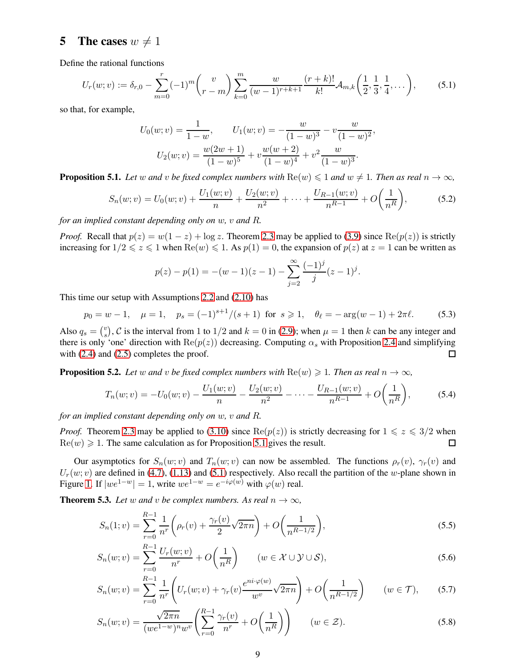#### 5 The cases  $w \neq 1$

Define the rational functions

<span id="page-8-2"></span>
$$
U_r(w; v) := \delta_{r,0} - \sum_{m=0}^r (-1)^m {v \choose r-m} \sum_{k=0}^m \frac{w}{(w-1)^{r+k+1}} \frac{(r+k)!}{k!} \mathcal{A}_{m,k} \left( \frac{1}{2}, \frac{1}{3}, \frac{1}{4}, \dots \right),
$$
 (5.1)

so that, for example,

$$
U_0(w; v) = \frac{1}{1 - w}, \qquad U_1(w; v) = -\frac{w}{(1 - w)^3} - v\frac{w}{(1 - w)^2},
$$

$$
U_2(w; v) = \frac{w(2w + 1)}{(1 - w)^5} + v\frac{w(w + 2)}{(1 - w)^4} + v^2\frac{w}{(1 - w)^3}.
$$

<span id="page-8-1"></span>**Proposition 5.1.** *Let* w and v be fixed complex numbers with  $\text{Re}(w) \leq 1$  and  $w \neq 1$ . Then as real  $n \to \infty$ ,

$$
S_n(w; v) = U_0(w; v) + \frac{U_1(w; v)}{n} + \frac{U_2(w; v)}{n^2} + \dots + \frac{U_{R-1}(w; v)}{n^{R-1}} + O\left(\frac{1}{n^R}\right),\tag{5.2}
$$

*for an implied constant depending only on* w*,* v *and* R*.*

*Proof.* Recall that  $p(z) = w(1 - z) + \log z$ . Theorem [2.3](#page-3-2) may be applied to [\(3.9\)](#page-4-7) since  $\text{Re}(p(z))$  is strictly increasing for  $1/2 \le z \le 1$  when  $\text{Re}(w) \le 1$ . As  $p(1) = 0$ , the expansion of  $p(z)$  at  $z = 1$  can be written as

$$
p(z) - p(1) = -(w - 1)(z - 1) - \sum_{j=2}^{\infty} \frac{(-1)^j}{j} (z - 1)^j.
$$

This time our setup with Assumptions [2.2](#page-3-0) and [\(2.10\)](#page-3-3) has

$$
p_0 = w - 1, \quad \mu = 1, \quad p_s = (-1)^{s+1}/(s+1) \text{ for } s \ge 1, \quad \theta_\ell = -\arg(w - 1) + 2\pi\ell. \tag{5.3}
$$

Also  $q_s = \binom{v}{s}$  $s<sup>v</sup>$ , C is the interval from 1 to 1/2 and  $k = 0$  in [\(2.9\)](#page-3-1); when  $\mu = 1$  then k can be any integer and there is only 'one' direction with  $\text{Re}(p(z))$  decreasing. Computing  $\alpha_s$  with Proposition [2.4](#page-3-4) and simplifying with  $(2.4)$  and  $(2.5)$  completes the proof. □

<span id="page-8-5"></span>**Proposition 5.2.** Let w and v be fixed complex numbers with  $\text{Re}(w) \geq 1$ . Then as real  $n \to \infty$ ,

$$
T_n(w; v) = -U_0(w; v) - \frac{U_1(w; v)}{n} - \frac{U_2(w; v)}{n^2} - \dots - \frac{U_{R-1}(w; v)}{n^{R-1}} + O\left(\frac{1}{n^R}\right),\tag{5.4}
$$

*for an implied constant depending only on* w*,* v *and* R*.*

*Proof.* Theorem [2.3](#page-3-2) may be applied to [\(3.10\)](#page-4-8) since  $\text{Re}(p(z))$  is strictly decreasing for  $1 \leq z \leq 3/2$  when  $\text{Re}(w) \geq 1$ . The same calculation as for Proposition [5.1](#page-8-1) gives the result.  $\Box$ 

Our asymptotics for  $S_n(w; v)$  and  $T_n(w; v)$  can now be assembled. The functions  $\rho_r(v)$ ,  $\gamma_r(v)$  and  $U_r(w; v)$  are defined in [\(4.7\)](#page-6-7), [\(1.13\)](#page-2-6) and [\(5.1\)](#page-8-2) respectively. Also recall the partition of the w-plane shown in Figure [1.](#page-2-1) If  $|we^{1-w}| = 1$ , write  $we^{1-w} = e^{-i\varphi(w)}$  with  $\varphi(w)$  real.

<span id="page-8-0"></span>**Theorem 5.3.** *Let* w and v be complex numbers. As real  $n \to \infty$ ,

<span id="page-8-4"></span><span id="page-8-3"></span>
$$
S_n(1;v) = \sum_{r=0}^{R-1} \frac{1}{n^r} \left( \rho_r(v) + \frac{\gamma_r(v)}{2} \sqrt{2\pi n} \right) + O\left(\frac{1}{n^{R-1/2}}\right),\tag{5.5}
$$

$$
S_n(w; v) = \sum_{r=0}^{R-1} \frac{U_r(w; v)}{n^r} + O\left(\frac{1}{n^R}\right) \qquad (w \in \mathcal{X} \cup \mathcal{Y} \cup \mathcal{S}),\tag{5.6}
$$

<span id="page-8-6"></span>
$$
S_n(w; v) = \sum_{r=0}^{R-1} \frac{1}{n^r} \left( U_r(w; v) + \gamma_r(v) \frac{e^{ni \cdot \varphi(w)}}{w^v} \sqrt{2\pi n} \right) + O\left(\frac{1}{n^{R-1/2}}\right) \qquad (w \in \mathcal{T}), \tag{5.7}
$$

<span id="page-8-7"></span>
$$
S_n(w; v) = \frac{\sqrt{2\pi n}}{(we^{1-w})^n w^v} \left(\sum_{r=0}^{R-1} \frac{\gamma_r(v)}{n^r} + O\left(\frac{1}{n^R}\right)\right) \qquad (w \in \mathcal{Z}).\tag{5.8}
$$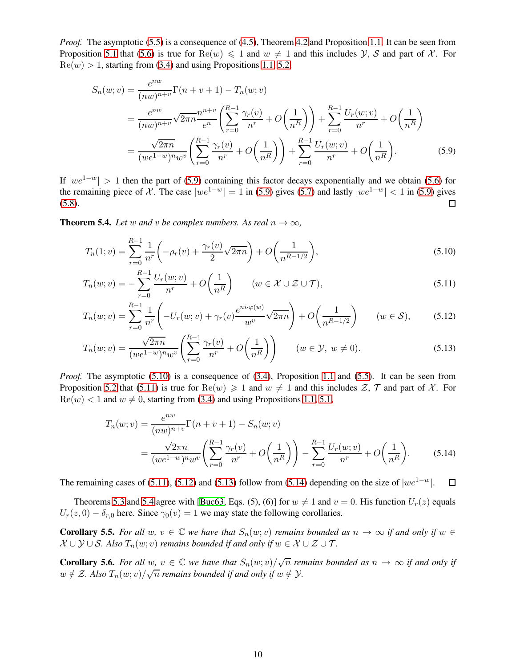*Proof.* The asymptotic [\(5.5\)](#page-8-3) is a consequence of [\(4.5\)](#page-6-8), Theorem [4.2](#page-6-0) and Proposition [1.1.](#page-2-3) It can be seen from Proposition [5.1](#page-8-1) that [\(5.6\)](#page-8-4) is true for  $\text{Re}(w) \le 1$  and  $w \ne 1$  and this includes Y, S and part of X. For  $\text{Re}(w) > 1$ , starting from [\(3.4\)](#page-4-4) and using Propositions [1.1,](#page-2-3) [5.2,](#page-8-5)

<span id="page-9-1"></span>
$$
S_n(w; v) = \frac{e^{nw}}{(nw)^{n+v}} \Gamma(n+v+1) - T_n(w; v)
$$
  
= 
$$
\frac{e^{nw}}{(nw)^{n+v}} \sqrt{2\pi n} \frac{n^{n+v}}{e^n} \left( \sum_{r=0}^{R-1} \frac{\gamma_r(v)}{n^r} + O\left(\frac{1}{n^R}\right) \right) + \sum_{r=0}^{R-1} \frac{U_r(w; v)}{n^r} + O\left(\frac{1}{n^R}\right)
$$
  
= 
$$
\frac{\sqrt{2\pi n}}{(we^{1-w})^n w^v} \left( \sum_{r=0}^{R-1} \frac{\gamma_r(v)}{n^r} + O\left(\frac{1}{n^R}\right) \right) + \sum_{r=0}^{R-1} \frac{U_r(w; v)}{n^r} + O\left(\frac{1}{n^R}\right).
$$
 (5.9)

If  $|we^{1-w}| > 1$  then the part of [\(5.9\)](#page-9-1) containing this factor decays exponentially and we obtain [\(5.6\)](#page-8-4) for the remaining piece of X. The case  $|we^{1-w}| = 1$  in [\(5.9\)](#page-9-1) gives [\(5.7\)](#page-8-6) and lastly  $|we^{1-w}| < 1$  in [\(5.9\)](#page-9-1) gives (5.8). [\(5.8\)](#page-8-7).

<span id="page-9-0"></span>**Theorem 5.4.** *Let* w and v *be complex numbers. As real*  $n \to \infty$ *,* 

<span id="page-9-2"></span>
$$
T_n(1;v) = \sum_{r=0}^{R-1} \frac{1}{n^r} \left( -\rho_r(v) + \frac{\gamma_r(v)}{2} \sqrt{2\pi n} \right) + O\left(\frac{1}{n^{R-1/2}}\right),\tag{5.10}
$$

<span id="page-9-3"></span>
$$
T_n(w; v) = -\sum_{r=0}^{R-1} \frac{U_r(w; v)}{n^r} + O\left(\frac{1}{n^R}\right) \qquad (w \in \mathcal{X} \cup \mathcal{Z} \cup \mathcal{T}),\tag{5.11}
$$

$$
T_n(w; v) = \sum_{r=0}^{R-1} \frac{1}{n^r} \left( -U_r(w; v) + \gamma_r(v) \frac{e^{ni \cdot \varphi(w)}}{w^v} \sqrt{2\pi n} \right) + O\left(\frac{1}{n^{R-1/2}}\right) \qquad (w \in \mathcal{S}),\tag{5.12}
$$

$$
T_n(w; v) = \frac{\sqrt{2\pi n}}{(we^{1-w})^n w^v} \left(\sum_{r=0}^{R-1} \frac{\gamma_r(v)}{n^r} + O\left(\frac{1}{n^R}\right)\right) \qquad (w \in \mathcal{Y}, \ w \neq 0). \tag{5.13}
$$

*Proof.* The asymptotic [\(5.10\)](#page-9-2) is a consequence of [\(3.4\)](#page-4-4), Proposition [1.1](#page-2-3) and [\(5.5\)](#page-8-3). It can be seen from Proposition [5.2](#page-8-5) that [\(5.11\)](#page-9-3) is true for  $\text{Re}(w) \ge 1$  and  $w \ne 1$  and this includes  $\mathcal{Z}, \mathcal{T}$  and part of X. For  $\text{Re}(w) < 1$  and  $w \neq 0$ , starting from [\(3.4\)](#page-4-4) and using Propositions [1.1,](#page-2-3) [5.1,](#page-8-1)

<span id="page-9-6"></span><span id="page-9-5"></span><span id="page-9-4"></span>
$$
T_n(w; v) = \frac{e^{nw}}{(nw)^{n+v}} \Gamma(n+v+1) - S_n(w; v)
$$
  
= 
$$
\frac{\sqrt{2\pi n}}{(we^{1-w})^n w^v} \left(\sum_{r=0}^{R-1} \frac{\gamma_r(v)}{n^r} + O\left(\frac{1}{n^R}\right)\right) - \sum_{r=0}^{R-1} \frac{U_r(w; v)}{n^r} + O\left(\frac{1}{n^R}\right).
$$
 (5.14)

The remaining cases of [\(5.11\)](#page-9-3), [\(5.12\)](#page-9-4) and [\(5.13\)](#page-9-5) follow from [\(5.14\)](#page-9-6) depending on the size of  $|we^{1-w}|$ .  $\Box$ 

Theorems [5.3](#page-8-0) and [5.4](#page-9-0) agree with [\[Buc63,](#page-17-4) Eqs. (5), (6)] for  $w \neq 1$  and  $v = 0$ . His function  $U_r(z)$  equals  $U_r(z, 0) - \delta_{r,0}$  here. Since  $\gamma_0(v) = 1$  we may state the following corollaries.

**Corollary 5.5.** *For all* w,  $v \in \mathbb{C}$  *we have that*  $S_n(w; v)$  *remains bounded as*  $n \to \infty$  *if and only if*  $w \in \mathbb{C}$  $\mathcal{X} \cup \mathcal{Y} \cup \mathcal{S}$ *. Also*  $T_n(w; v)$  *remains bounded if and only if*  $w \in \mathcal{X} \cup \mathcal{Z} \cup \mathcal{T}$ *.* 

**Corollary 5.6.** For all  $w, v \in \mathbb{C}$  we have that  $S_n(w; v)/\sqrt{n}$  remains bounded as  $n \to \infty$  if and only if  $w \notin \mathcal{Z}$ . Also  $T_n(w; v)/\sqrt{n}$  remains bounded if and only if  $w \notin \mathcal{Y}$ .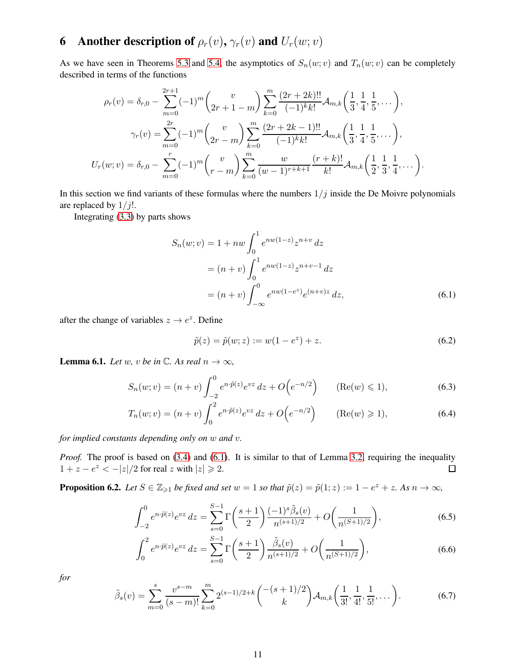# 6 Another description of  $\rho_r(v)$ ,  $\gamma_r(v)$  and  $U_r(w; v)$

As we have seen in Theorems [5.3](#page-8-0) and [5.4,](#page-9-0) the asymptotics of  $S_n(w; v)$  and  $T_n(w; v)$  can be completely described in terms of the functions

$$
\rho_r(v) = \delta_{r,0} - \sum_{m=0}^{2r+1} (-1)^m {v \choose 2r+1-m} \sum_{k=0}^m \frac{(2r+2k)!!}{(-1)^k k!} \mathcal{A}_{m,k} \left( \frac{1}{3}, \frac{1}{4}, \frac{1}{5}, \dots \right),
$$
  

$$
\gamma_r(v) = \sum_{m=0}^{2r} (-1)^m {v \choose 2r-m} \sum_{k=0}^m \frac{(2r+2k-1)!!}{(-1)^k k!} \mathcal{A}_{m,k} \left( \frac{1}{3}, \frac{1}{4}, \frac{1}{5}, \dots \right),
$$
  

$$
U_r(w; v) = \delta_{r,0} - \sum_{m=0}^r (-1)^m {v \choose r-m} \sum_{k=0}^m \frac{w}{(w-1)^{r+k+1}} \frac{(r+k)!}{k!} \mathcal{A}_{m,k} \left( \frac{1}{2}, \frac{1}{3}, \frac{1}{4}, \dots \right).
$$

In this section we find variants of these formulas where the numbers  $1/j$  inside the De Moivre polynomials are replaced by  $1/j!$ .

Integrating [\(3.3\)](#page-4-3) by parts shows

$$
S_n(w; v) = 1 + nw \int_0^1 e^{nw(1-z)} z^{n+v} dz
$$
  
=  $(n + v) \int_0^1 e^{nw(1-z)} z^{n+v-1} dz$   
=  $(n + v) \int_{-\infty}^0 e^{nw(1-e^z)} e^{(n+v)z} dz$ , (6.1)

after the change of variables  $z \to e^z$ . Define

<span id="page-10-3"></span><span id="page-10-0"></span>
$$
\tilde{p}(z) = \tilde{p}(w; z) := w(1 - e^z) + z.
$$
\n(6.2)

<span id="page-10-1"></span>**Lemma 6.1.** *Let* w, *v be* in  $\mathbb{C}$ *. As real*  $n \to \infty$ *,* 

$$
S_n(w; v) = (n + v) \int_{-2}^0 e^{n \cdot \tilde{p}(z)} e^{vz} dz + O(e^{-n/2}) \qquad (\text{Re}(w) \leq 1), \tag{6.3}
$$

$$
T_n(w; v) = (n + v) \int_0^2 e^{n \cdot \tilde{p}(z)} e^{vz} dz + O(e^{-n/2}) \qquad (\text{Re}(w) \ge 1), \tag{6.4}
$$

*for implied constants depending only on* w *and* v*.*

*Proof.* The proof is based on [\(3.4\)](#page-4-4) and [\(6.1\)](#page-10-0). It is similar to that of Lemma [3.2,](#page-4-9) requiring the inequality  $1 + z - e^z < -|z|/2$  for real z with  $|z| \ge 2$ .  $\Box$ 

<span id="page-10-2"></span>**Proposition 6.2.** Let  $S \in \mathbb{Z}_{\geqslant 1}$  be fixed and set  $w = 1$  so that  $\tilde{p}(z) = \tilde{p}(1; z) := 1 - e^z + z$ . As  $n \to \infty$ ,

$$
\int_{-2}^{0} e^{n \cdot \tilde{p}(z)} e^{vz} dz = \sum_{s=0}^{S-1} \Gamma\left(\frac{s+1}{2}\right) \frac{(-1)^s \tilde{\beta}_s(v)}{n^{(s+1)/2}} + O\left(\frac{1}{n^{(S+1)/2}}\right),\tag{6.5}
$$

$$
\int_0^2 e^{n \cdot \tilde{p}(z)} e^{vz} dz = \sum_{s=0}^{S-1} \Gamma\left(\frac{s+1}{2}\right) \frac{\tilde{\beta}_s(v)}{n^{(s+1)/2}} + O\left(\frac{1}{n^{(S+1)/2}}\right),\tag{6.6}
$$

*for*

$$
\tilde{\beta}_s(v) = \sum_{m=0}^s \frac{v^{s-m}}{(s-m)!} \sum_{k=0}^m 2^{(s-1)/2+k} \binom{-(s+1)/2}{k} \mathcal{A}_{m,k} \left(\frac{1}{3!}, \frac{1}{4!}, \frac{1}{5!}, \dots\right).
$$
 (6.7)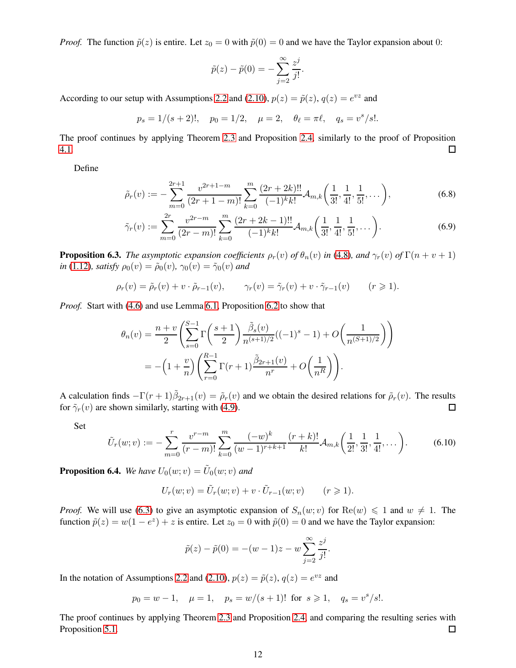*Proof.* The function  $\tilde{p}(z)$  is entire. Let  $z_0 = 0$  with  $\tilde{p}(0) = 0$  and we have the Taylor expansion about 0:

<span id="page-11-1"></span>
$$
\tilde{p}(z) - \tilde{p}(0) = -\sum_{j=2}^{\infty} \frac{z^j}{j!}.
$$

According to our setup with Assumptions [2.2](#page-3-0) and [\(2.10\)](#page-3-3),  $p(z) = \tilde{p}(z)$ ,  $q(z) = e^{vz}$  and

$$
p_s = 1/(s+2)!,
$$
  $p_0 = 1/2,$   $\mu = 2,$   $\theta_\ell = \pi \ell,$   $q_s = v^s/s!.$ 

The proof continues by applying Theorem [2.3](#page-3-2) and Proposition [2.4,](#page-3-4) similarly to the proof of Proposition [4.1.](#page-6-4)  $\Box$ 

Define

$$
\tilde{\rho}_r(v) := -\sum_{m=0}^{2r+1} \frac{v^{2r+1-m}}{(2r+1-m)!} \sum_{k=0}^m \frac{(2r+2k)!!}{(-1)^k k!} \mathcal{A}_{m,k}\left(\frac{1}{3!}, \frac{1}{4!}, \frac{1}{5!}, \dots\right),\tag{6.8}
$$

$$
\tilde{\gamma}_r(v) := \sum_{m=0}^{2r} \frac{v^{2r-m}}{(2r-m)!} \sum_{k=0}^m \frac{(2r+2k-1)!!}{(-1)^k k!} \mathcal{A}_{m,k}\left(\frac{1}{3!}, \frac{1}{4!}, \frac{1}{5!}, \dots\right).
$$
(6.9)

<span id="page-11-0"></span>**Proposition 6.3.** *The asymptotic expansion coefficients*  $\rho_r(v)$  *of*  $\theta_n(v)$  *in* [\(4.8\)](#page-6-9)*, and*  $\gamma_r(v)$  *of*  $\Gamma(n+v+1)$ *in* [\(1.12\)](#page-2-7)*, satisfy*  $\rho_0(v) = \tilde{\rho}_0(v)$ *,*  $\gamma_0(v) = \tilde{\gamma}_0(v)$  *and* 

$$
\rho_r(v) = \tilde{\rho}_r(v) + v \cdot \tilde{\rho}_{r-1}(v), \qquad \gamma_r(v) = \tilde{\gamma}_r(v) + v \cdot \tilde{\gamma}_{r-1}(v) \qquad (r \geq 1).
$$

*Proof.* Start with [\(4.6\)](#page-6-5) and use Lemma [6.1,](#page-10-1) Proposition [6.2](#page-10-2) to show that

$$
\theta_n(v) = \frac{n+v}{2} \left( \sum_{s=0}^{S-1} \Gamma\left(\frac{s+1}{2}\right) \frac{\tilde{\beta}_s(v)}{n^{(s+1)/2}} ((-1)^s - 1) + O\left(\frac{1}{n^{(S+1)/2}}\right) \right)
$$
  
=  $-\left(1 + \frac{v}{n}\right) \left( \sum_{r=0}^{R-1} \Gamma(r+1) \frac{\tilde{\beta}_{2r+1}(v)}{n^r} + O\left(\frac{1}{n^R}\right) \right).$ 

A calculation finds  $-\Gamma(r+1)\tilde{\beta}_{2r+1}(v) = \tilde{\rho}_r(v)$  and we obtain the desired relations for  $\tilde{\rho}_r(v)$ . The results for  $\tilde{\gamma}_r(v)$  are shown similarly, starting with [\(4.9\)](#page-7-3).  $\Box$ 

Set

<span id="page-11-2"></span>
$$
\tilde{U}_r(w; v) := -\sum_{m=0}^r \frac{v^{r-m}}{(r-m)!} \sum_{k=0}^m \frac{(-w)^k}{(w-1)^{r+k+1}} \frac{(r+k)!}{k!} \mathcal{A}_{m,k}\left(\frac{1}{2!}, \frac{1}{3!}, \frac{1}{4!}, \dots\right).
$$
 (6.10)

<span id="page-11-3"></span>**Proposition 6.4.** We have  $U_0(w; v) = \tilde{U}_0(w; v)$  and

$$
U_r(w; v) = \tilde{U}_r(w; v) + v \cdot \tilde{U}_{r-1}(w; v) \qquad (r \geq 1).
$$

*Proof.* We will use [\(6.3\)](#page-10-3) to give an asymptotic expansion of  $S_n(w; v)$  for  $\text{Re}(w) \leq 1$  and  $w \neq 1$ . The function  $\tilde{p}(z) = w(1 - e^z) + z$  is entire. Let  $z_0 = 0$  with  $\tilde{p}(0) = 0$  and we have the Taylor expansion:

$$
\tilde{p}(z) - \tilde{p}(0) = -(w - 1)z - w \sum_{j=2}^{\infty} \frac{z^j}{j!}.
$$

In the notation of Assumptions [2.2](#page-3-0) and [\(2.10\)](#page-3-3),  $p(z) = \tilde{p}(z)$ ,  $q(z) = e^{vz}$  and

$$
p_0 = w - 1
$$
,  $\mu = 1$ ,  $p_s = w/(s + 1)!$  for  $s \ge 1$ ,  $q_s = v^s/s!$ .

The proof continues by applying Theorem [2.3](#page-3-2) and Proposition [2.4,](#page-3-4) and comparing the resulting series with Proposition [5.1.](#page-8-1) □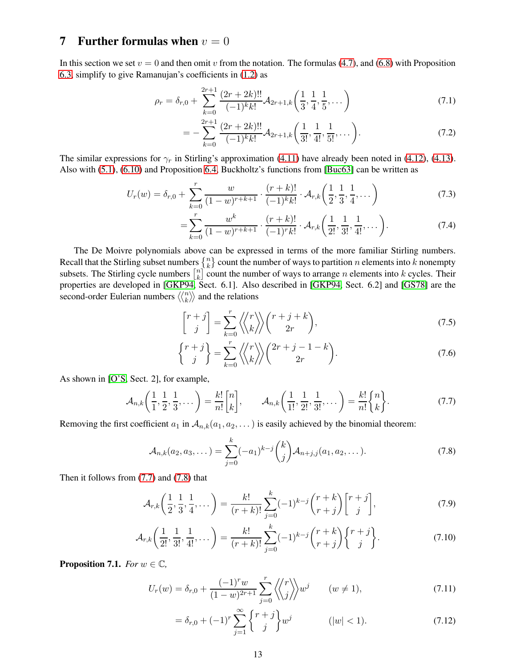## 7 Further formulas when  $v = 0$

In this section we set  $v = 0$  and then omit v from the notation. The formulas [\(4.7\)](#page-6-7), and [\(6.8\)](#page-11-1) with Proposition [6.3,](#page-11-0) simplify to give Ramanujan's coefficients in [\(1.2\)](#page-0-2) as

$$
\rho_r = \delta_{r,0} + \sum_{k=0}^{2r+1} \frac{(2r+2k)!!}{(-1)^k k!} \mathcal{A}_{2r+1,k} \left( \frac{1}{3}, \frac{1}{4}, \frac{1}{5}, \dots \right)
$$
(7.1)

<span id="page-12-11"></span>
$$
= -\sum_{k=0}^{2r+1} \frac{(2r+2k)!!}{(-1)^k k!} \mathcal{A}_{2r+1,k}\left(\frac{1}{3!}, \frac{1}{4!}, \frac{1}{5!}, \dots\right).
$$
 (7.2)

The similar expressions for  $\gamma_r$  in Stirling's approximation [\(4.11\)](#page-7-4) have already been noted in [\(4.12\)](#page-7-1), [\(4.13\)](#page-7-2). Also with [\(5.1\)](#page-8-2), [\(6.10\)](#page-11-2) and Proposition [6.4,](#page-11-3) Buckholtz's functions from [\[Buc63\]](#page-17-4) can be written as

$$
U_r(w) = \delta_{r,0} + \sum_{k=0}^r \frac{w}{(1-w)^{r+k+1}} \cdot \frac{(r+k)!}{(-1)^k k!} \cdot \mathcal{A}_{r,k} \left(\frac{1}{2}, \frac{1}{3}, \frac{1}{4}, \dots\right)
$$
(7.3)

<span id="page-12-7"></span><span id="page-12-6"></span>
$$
= \sum_{k=0}^{r} \frac{w^k}{(1-w)^{r+k+1}} \cdot \frac{(r+k)!}{(-1)^{r}k!} \cdot \mathcal{A}_{r,k}\left(\frac{1}{2!}, \frac{1}{3!}, \frac{1}{4!}, \dots\right).
$$
 (7.4)

The De Moivre polynomials above can be expressed in terms of the more familiar Stirling numbers. Recall that the Stirling subset numbers  $\begin{Bmatrix} n \\ k \end{Bmatrix}$  count the number of ways to partition n elements into k nonempty subsets. The Stirling cycle numbers  $\begin{bmatrix} n \\ k \end{bmatrix}$  $\binom{n}{k}$  count the number of ways to arrange *n* elements into *k* cycles. Their properties are developed in [\[GKP94,](#page-17-11) Sect. 6.1]. Also described in [\[GKP94,](#page-17-11) Sect. 6.2] and [\[GS78\]](#page-17-12) are the second-order Eulerian numbers  $\langle \langle n \rangle$  $\binom{n}{k}$  and the relations

<span id="page-12-3"></span><span id="page-12-2"></span>
$$
\begin{bmatrix} r+j \\ j \end{bmatrix} = \sum_{k=0}^{r} \left\langle \left\langle \begin{matrix} r \\ k \end{matrix} \right\rangle \right\rangle \binom{r+j+k}{2r},\tag{7.5}
$$

$$
\begin{Bmatrix} r+j \\ j \end{Bmatrix} = \sum_{k=0}^{r} \left\langle \begin{Bmatrix} r \\ k \end{Bmatrix} \right\rangle \begin{pmatrix} 2r+j-1-k \\ 2r \end{pmatrix}.
$$
 (7.6)

As shown in [\[O'S,](#page-17-6) Sect. 2], for example,

<span id="page-12-0"></span>
$$
\mathcal{A}_{n,k}\bigg(\frac{1}{1},\frac{1}{2},\frac{1}{3},\dots\bigg) = \frac{k!}{n!} \begin{bmatrix} n \\ k \end{bmatrix}, \qquad \mathcal{A}_{n,k}\bigg(\frac{1}{1!},\frac{1}{2!},\frac{1}{3!},\dots\bigg) = \frac{k!}{n!} \begin{Bmatrix} n \\ k \end{Bmatrix}.
$$
 (7.7)

Removing the first coefficient  $a_1$  in  $A_{n,k}(a_1, a_2, \dots)$  is easily achieved by the binomial theorem:

<span id="page-12-1"></span>
$$
\mathcal{A}_{n,k}(a_2, a_3, \dots) = \sum_{j=0}^k (-a_1)^{k-j} {k \choose j} \mathcal{A}_{n+j,j}(a_1, a_2, \dots).
$$
 (7.8)

Then it follows from [\(7.7\)](#page-12-0) and [\(7.8\)](#page-12-1) that

$$
\mathcal{A}_{r,k}\left(\frac{1}{2},\frac{1}{3},\frac{1}{4},\dots\right) = \frac{k!}{(r+k)!} \sum_{j=0}^{k} (-1)^{k-j} \binom{r+k}{r+j} \binom{r+j}{j},\tag{7.9}
$$

$$
\mathcal{A}_{r,k}\left(\frac{1}{2!},\frac{1}{3!},\frac{1}{4!},\dots\right) = \frac{k!}{(r+k)!} \sum_{j=0}^{k} (-1)^{k-j} \binom{r+k}{r+j} \begin{Bmatrix} r+j\\j \end{Bmatrix}.
$$
 (7.10)

<span id="page-12-10"></span>**Proposition 7.1.** *For*  $w \in \mathbb{C}$ *,* 

$$
U_r(w) = \delta_{r,0} + \frac{(-1)^r w}{(1-w)^{2r+1}} \sum_{j=0}^r \left\langle \left\langle \frac{r}{j} \right\rangle \right\rangle w^j \qquad (w \neq 1),\tag{7.11}
$$

<span id="page-12-9"></span><span id="page-12-8"></span><span id="page-12-5"></span><span id="page-12-4"></span>
$$
= \delta_{r,0} + (-1)^r \sum_{j=1}^{\infty} \binom{r+j}{j} w^j \qquad (|w| < 1). \tag{7.12}
$$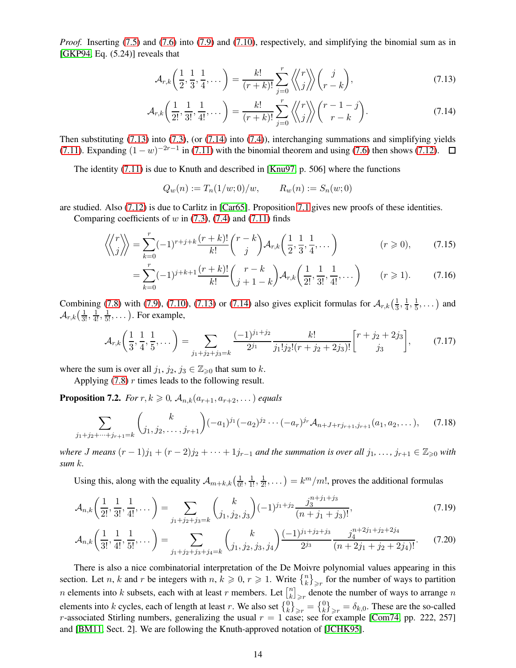*Proof.* Inserting [\(7.5\)](#page-12-2) and [\(7.6\)](#page-12-3) into [\(7.9\)](#page-12-4) and [\(7.10\)](#page-12-5), respectively, and simplifying the binomial sum as in [\[GKP94,](#page-17-11) Eq. (5.24)] reveals that

<span id="page-13-2"></span><span id="page-13-1"></span>
$$
\mathcal{A}_{r,k}\left(\frac{1}{2},\frac{1}{3},\frac{1}{4},\dots\right) = \frac{k!}{(r+k)!} \sum_{j=0}^r \left\langle \left\langle \frac{r}{j} \right\rangle \right\rangle \left(\frac{j}{r-k}\right),\tag{7.13}
$$

$$
\mathcal{A}_{r,k}\left(\frac{1}{2!},\frac{1}{3!},\frac{1}{4!},\dots\right) = \frac{k!}{(r+k)!} \sum_{j=0}^r \left\langle \left\langle \frac{r}{j} \right\rangle \right\rangle \binom{r-1-j}{r-k}.
$$
\n(7.14)

Then substituting [\(7.13\)](#page-13-1) into [\(7.3\)](#page-12-6), (or [\(7.14\)](#page-13-2) into [\(7.4\)](#page-12-7)), interchanging summations and simplifying yields [\(7.11\)](#page-12-8). Expanding  $(1 - w)^{-2r-1}$  in (7.11) with the binomial theorem and using [\(7.6\)](#page-12-3) then shows [\(7.12\)](#page-12-9).

The identity [\(7.11\)](#page-12-8) is due to Knuth and described in [\[Knu97,](#page-17-13) p. 506] where the functions

$$
Q_w(n) := T_n(1/w; 0)/w, \qquad R_w(n) := S_n(w; 0)
$$

are studied. Also [\(7.12\)](#page-12-9) is due to Carlitz in [\[Car65\]](#page-17-14). Proposition [7.1](#page-12-10) gives new proofs of these identities.

Comparing coefficients of  $w$  in [\(7.3\)](#page-12-6), [\(7.4\)](#page-12-7) and [\(7.11\)](#page-12-8) finds

$$
\left\langle \left\langle \begin{matrix} r \\ j \end{matrix} \right\rangle \right\rangle = \sum_{k=0}^{r} (-1)^{r+j+k} \frac{(r+k)!}{k!} \binom{r-k}{j} \mathcal{A}_{r,k} \left( \frac{1}{2}, \frac{1}{3}, \frac{1}{4}, \dots \right) \tag{7.15}
$$

$$
= \sum_{k=0}^{r} (-1)^{j+k+1} \frac{(r+k)!}{k!} {r-k \choose j+1-k} \mathcal{A}_{r,k} \left( \frac{1}{2!}, \frac{1}{3!}, \frac{1}{4!}, \dots \right) \qquad (r \geq 1). \tag{7.16}
$$

Combining [\(7.8\)](#page-12-1) with [\(7.9\)](#page-12-4), [\(7.10\)](#page-12-5), [\(7.13\)](#page-13-1) or [\(7.14\)](#page-13-2) also gives explicit formulas for  $\mathcal{A}_{r,k}(\frac{1}{3})$  $\frac{1}{3}, \frac{1}{4}$  $\frac{1}{4}, \frac{1}{5}$  $\frac{1}{5}, \dots$ ) and  $\mathcal{A}_{r,k}(\frac{1}{3!}, \frac{1}{4!}, \frac{1}{5!}, \dots)$ . For example,

$$
\mathcal{A}_{r,k}\left(\frac{1}{3},\frac{1}{4},\frac{1}{5},\dots\right) = \sum_{j_1+j_2+j_3=k} \frac{(-1)^{j_1+j_2}}{2^{j_1}} \frac{k!}{j_1!j_2!(r+j_2+2j_3)!} \begin{bmatrix} r+j_2+2j_3\\j_3 \end{bmatrix},\tag{7.17}
$$

where the sum is over all  $j_1, j_2, j_3 \in \mathbb{Z}_{\geq 0}$  that sum to k.

Applying  $(7.8)$  r times leads to the following result.

**Proposition 7.2.** *For*  $r, k \geq 0$ ,  $\mathcal{A}_{n,k}(a_{r+1}, a_{r+2}, \dots)$  *equals* 

$$
\sum_{j_1+j_2+\dots+j_{r+1}=k} {k \choose j_1,j_2,\dots,j_{r+1}} (-a_1)^{j_1}(-a_2)^{j_2}\cdots(-a_r)^{j_r} \mathcal{A}_{n+J+rj_{r+1},j_{r+1}}(a_1,a_2,\dots), \quad (7.18)
$$

*where J* means  $(r-1)j_1 + (r-2)j_2 + \cdots + 1j_{r-1}$  *and the summation is over all*  $j_1, \ldots, j_{r+1} \in \mathbb{Z}_{\geq 0}$  *with sum* k*.*

Using this, along with the equality  $A_{m+k,k}(\frac{1}{0!},\frac{1}{1!},\frac{1}{2!},\dots) = k^m/m!$ , proves the additional formulas

$$
\mathcal{A}_{n,k}\left(\frac{1}{2!},\frac{1}{3!},\frac{1}{4!},\dots\right) = \sum_{j_1+j_2+j_3=k} {k \choose j_1,j_2,j_3} (-1)^{j_1+j_2} \frac{j_3^{n+j_1+j_3}}{(n+j_1+j_3)!},\tag{7.19}
$$

<span id="page-13-0"></span>
$$
\mathcal{A}_{n,k}\left(\frac{1}{3!},\frac{1}{4!},\frac{1}{5!},\dots\right) = \sum_{j_1+j_2+j_3+j_4=k} {k \choose j_1,j_2,j_3,j_4} \frac{(-1)^{j_1+j_2+j_3}}{2^{j_3}} \frac{j_4^{n+2j_1+j_2+2j_4}}{(n+2j_1+j_2+2j_4)!}.\tag{7.20}
$$

There is also a nice combinatorial interpretation of the De Moivre polynomial values appearing in this section. Let *n*, *k* and *r* be integers with *n*,  $k \ge 0$ ,  $r \ge 1$ . Write  $\binom{n}{k}_{\ge r}$  for the number of ways to partition *n* elements into *k* subsets, each with at least *r* members. Let  $\begin{bmatrix} n \\ k \end{bmatrix}$  $\left\lfloor \frac{n}{k} \right\rfloor_{\geq r}$  denote the number of ways to arrange  $n$ elements into k cycles, each of length at least r. We also set  $\{^0_k\}_{\geq r} = \{^0_k\}_{\geq r} = \delta_{k,0}$ . These are the so-called r-associated Stirling numbers, generalizing the usual  $r = 1$  case; see for example [\[Com74,](#page-17-15) pp. 222, 257] and [\[BM11,](#page-17-9) Sect. 2]. We are following the Knuth-approved notation of [\[JCHK95\]](#page-17-16).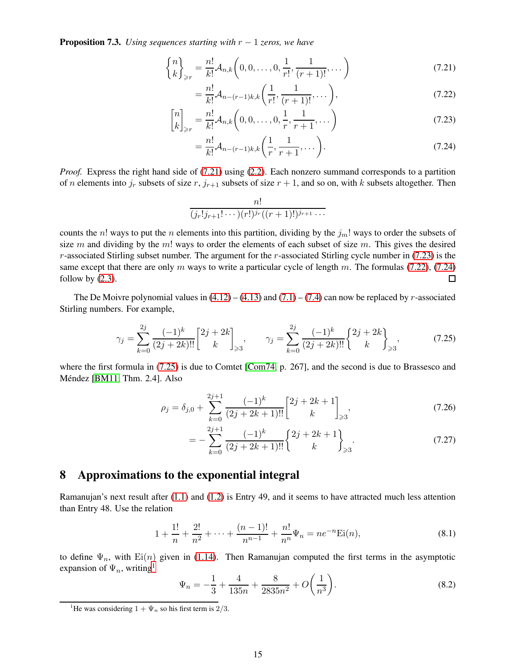Proposition 7.3. *Using sequences starting with* r − 1 *zeros, we have*

$$
\binom{n}{k}_{\geq r} = \frac{n!}{k!} \mathcal{A}_{n,k} \left( 0, 0, \dots, 0, \frac{1}{r!}, \frac{1}{(r+1)!}, \dots \right) \tag{7.21}
$$

<span id="page-14-2"></span><span id="page-14-0"></span>
$$
= \frac{n!}{k!} \mathcal{A}_{n-(r-1)k,k} \left( \frac{1}{r!}, \frac{1}{(r+1)!}, \dots \right), \tag{7.22}
$$

$$
\begin{bmatrix} n \\ k \end{bmatrix}_{\geq r} = \frac{n!}{k!} \mathcal{A}_{n,k} \left( 0, 0, \dots, 0, \frac{1}{r}, \frac{1}{r+1}, \dots \right)
$$
\n(7.23)

<span id="page-14-3"></span><span id="page-14-1"></span>
$$
= \frac{n!}{k!} \mathcal{A}_{n-(r-1)k,k} \left( \frac{1}{r}, \frac{1}{r+1}, \dots \right). \tag{7.24}
$$

*Proof.* Express the right hand side of [\(7.21\)](#page-14-0) using [\(2.2\)](#page-2-8). Each nonzero summand corresponds to a partition of n elements into  $j_r$  subsets of size  $r$ ,  $j_{r+1}$  subsets of size  $r + 1$ , and so on, with k subsets altogether. Then

$$
\frac{n!}{(j_r!j_{r+1}!\cdots)(r!)^{j_r}((r+1)!)^{j_{r+1}}\cdots}
$$

counts the n! ways to put the n elements into this partition, dividing by the  $j_m!$  ways to order the subsets of size m and dividing by the m! ways to order the elements of each subset of size m. This gives the desired  $r$ -associated Stirling subset number. The argument for the  $r$ -associated Stirling cycle number in [\(7.23\)](#page-14-1) is the same except that there are only m ways to write a particular cycle of length m. The formulas [\(7.22\)](#page-14-2), [\(7.24\)](#page-14-3) follow by  $(2.3)$ .  $\Box$ 

The De Moivre polynomial values in  $(4.12) - (4.13)$  $(4.12) - (4.13)$  and  $(7.1) - (7.4)$  $(7.1) - (7.4)$  can now be replaced by r-associated Stirling numbers. For example,

<span id="page-14-4"></span>
$$
\gamma_j = \sum_{k=0}^{2j} \frac{(-1)^k}{(2j+2k)!!} \begin{bmatrix} 2j+2k \ k \end{bmatrix}_{\geqslant 3}, \qquad \gamma_j = \sum_{k=0}^{2j} \frac{(-1)^k}{(2j+2k)!!} \begin{Bmatrix} 2j+2k \ k \end{Bmatrix}_{\geqslant 3}, \tag{7.25}
$$

where the first formula in [\(7.25\)](#page-14-4) is due to Comtet [\[Com74,](#page-17-15) p. 267], and the second is due to Brassesco and Méndez [\[BM11,](#page-17-9) Thm. 2.4]. Also

$$
\rho_j = \delta_{j,0} + \sum_{k=0}^{2j+1} \frac{(-1)^k}{(2j+2k+1)!!} \begin{bmatrix} 2j+2k+1 \ k \end{bmatrix}_{\geqslant 3},\tag{7.26}
$$

$$
= -\sum_{k=0}^{2j+1} \frac{(-1)^k}{(2j+2k+1)!!} \begin{Bmatrix} 2j+2k+1 \\ k \end{Bmatrix}_{\geqslant 3}.
$$
 (7.27)

#### 8 Approximations to the exponential integral

Ramanujan's next result after [\(1.1\)](#page-0-0) and [\(1.2\)](#page-0-2) is Entry 49, and it seems to have attracted much less attention than Entry 48. Use the relation

$$
1 + \frac{1!}{n} + \frac{2!}{n^2} + \dots + \frac{(n-1)!}{n^{n-1}} + \frac{n!}{n^n} \Psi_n = n e^{-n} \text{Ei}(n),\tag{8.1}
$$

to define  $\Psi_n$ , with  $Ei(n)$  given in [\(1.14\)](#page-2-10). Then Ramanujan computed the first terms in the asymptotic expansion of  $\Psi_n$ , writing<sup>[1](#page-14-5)</sup>

<span id="page-14-6"></span>
$$
\Psi_n = -\frac{1}{3} + \frac{4}{135n} + \frac{8}{2835n^2} + O\left(\frac{1}{n^3}\right).
$$
\n(8.2)

<span id="page-14-5"></span><sup>&</sup>lt;sup>1</sup>He was considering  $1 + \Psi_n$  so his first term is 2/3.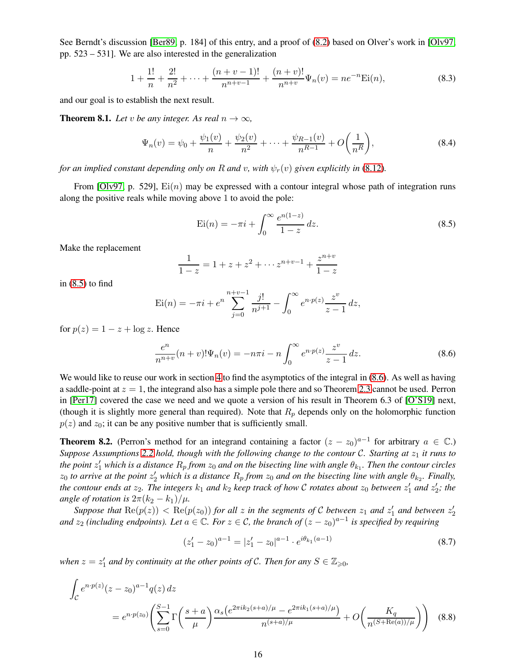See Berndt's discussion [\[Ber89,](#page-17-3) p. 184] of this entry, and a proof of [\(8.2\)](#page-14-6) based on Olver's work in [\[Olv97,](#page-17-17) pp. 523 – 531]. We are also interested in the generalization

$$
1 + \frac{1!}{n} + \frac{2!}{n^2} + \dots + \frac{(n+v-1)!}{n^{n+v-1}} + \frac{(n+v)!}{n^{n+v}} \Psi_n(v) = n e^{-n} \text{Ei}(n),\tag{8.3}
$$

and our goal is to establish the next result.

<span id="page-15-4"></span>**Theorem 8.1.** *Let* v *be any integer. As real*  $n \to \infty$ *,* 

<span id="page-15-5"></span>
$$
\Psi_n(v) = \psi_0 + \frac{\psi_1(v)}{n} + \frac{\psi_2(v)}{n^2} + \dots + \frac{\psi_{R-1}(v)}{n^{R-1}} + O\left(\frac{1}{n^R}\right),\tag{8.4}
$$

*for an implied constant depending only on* R *and* v, with  $\psi_r(v)$  *given explicitly in* [\(8.12\)](#page-16-0)*.* 

From [\[Olv97,](#page-17-17) p. 529],  $Ei(n)$  may be expressed with a contour integral whose path of integration runs along the positive reals while moving above 1 to avoid the pole:

<span id="page-15-0"></span>
$$
Ei(n) = -\pi i + \int_0^\infty \frac{e^{n(1-z)}}{1-z} dz.
$$
 (8.5)

Make the replacement

$$
\frac{1}{1-z} = 1 + z + z^2 + \dots + z^{n+v-1} + \frac{z^{n+v}}{1-z}
$$

in  $(8.5)$  to find

$$
\operatorname{Ei}(n) = -\pi i + e^n \sum_{j=0}^{n+v-1} \frac{j!}{n^{j+1}} - \int_0^\infty e^{n \cdot p(z)} \frac{z^v}{z-1} dz,
$$

for  $p(z) = 1 - z + \log z$ . Hence

<span id="page-15-1"></span>
$$
\frac{e^n}{n^{n+v}}(n+v)!\Psi_n(v) = -n\pi i - n\int_0^\infty e^{n\cdot p(z)}\frac{z^v}{z-1} dz.
$$
\n(8.6)

We would like to reuse our work in section [4](#page-6-10) to find the asymptotics of the integral in [\(8.6\)](#page-15-1). As well as having a saddle-point at  $z = 1$ , the integrand also has a simple pole there and so Theorem [2.3](#page-3-2) cannot be used. Perron in [\[Per17\]](#page-17-8) covered the case we need and we quote a version of his result in Theorem 6.3 of [\[O'S19\]](#page-17-7) next, (though it is slightly more general than required). Note that  $R_p$  depends only on the holomorphic function  $p(z)$  and  $z_0$ ; it can be any positive number that is sufficiently small.

<span id="page-15-3"></span>**Theorem 8.2.** (Perron's method for an integrand containing a factor  $(z - z_0)^{a-1}$  for arbitrary  $a \in \mathbb{C}$ .) *Suppose Assumptions* [2.2](#page-3-0)*hold, though with the following change to the contour C. Starting at*  $z_1$  *it runs to* the point  $z'_1$  which is a distance  $R_p$  from  $z_0$  and on the bisecting line with angle  $\theta_{k_1}$ . Then the contour circles  $z_0$  to arrive at the point  $z'_2$  which is a distance  $R_p$  from  $z_0$  and on the bisecting line with angle  $\theta_{k_2}$ . Finally, the contour ends at  $z_2$ . The integers  $k_1$  and  $k_2$  keep track of how C rotates about  $z_0$  between  $z'_1$  and  $z'_2$ ; the *angle of rotation is*  $2\pi (k_2 - k_1)/\mu$ .

Suppose that  $\text{Re}(p(z)) < \text{Re}(p(z_0))$  for all z in the segments of C between  $z_1$  and  $z'_1$  and between  $z'_2$ and  $z_2$  *(including endpoints). Let*  $a \in \mathbb{C}$ *. For*  $z \in \mathcal{C}$ *, the branch of*  $(z - z_0)^{a-1}$  *is specified by requiring* 

<span id="page-15-2"></span>
$$
(z'_1 - z_0)^{a-1} = |z'_1 - z_0|^{a-1} \cdot e^{i\theta_{k_1}(a-1)}
$$
\n(8.7)

*when*  $z = z'_1$  and by continuity at the other points of C. Then for any  $S \in \mathbb{Z}_{\geqslant 0}$ ,

$$
\int_{\mathcal{C}} e^{n \cdot p(z)} (z - z_0)^{a-1} q(z) dz
$$
\n
$$
= e^{n \cdot p(z_0)} \left( \sum_{s=0}^{S-1} \Gamma\left(\frac{s+a}{\mu}\right) \frac{\alpha_s \left(e^{2\pi i k_2(s+a)/\mu} - e^{2\pi i k_1(s+a)/\mu}\right)}{n^{(s+a)/\mu}} + O\left(\frac{K_q}{n^{(S+\text{Re}(a))/\mu}}\right) \right)
$$
(8.8)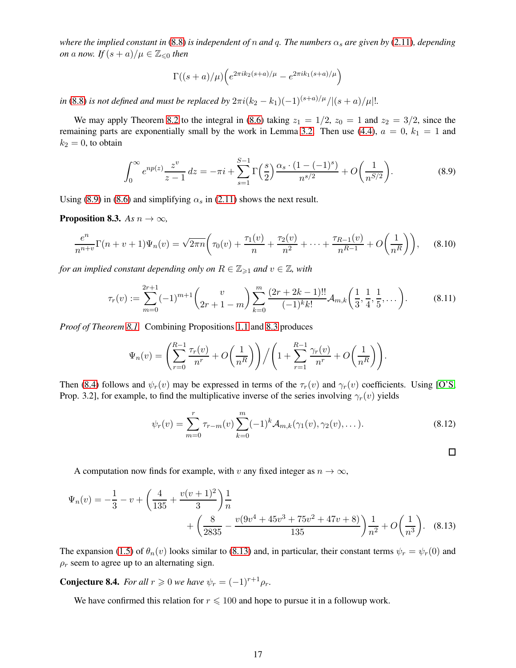*where the implied constant in* [\(8.8\)](#page-15-2) *is independent of n and q. The numbers*  $\alpha_s$  *are given by* [\(2.11\)](#page-3-5)*, depending on* a *now.* If  $(s + a)/\mu \in \mathbb{Z}_{\leq 0}$  then

$$
\Gamma((s+a)/\mu)\left(e^{2\pi i k_2(s+a)/\mu}-e^{2\pi i k_1(s+a)/\mu}\right)
$$

*in* [\(8.8\)](#page-15-2) *is not defined and must be replaced by*  $2\pi i (k_2 - k_1)(-1)^{(s+a)/\mu}/|(s+a)/\mu|!$ .

We may apply Theorem [8.2](#page-15-3) to the integral in [\(8.6\)](#page-15-1) taking  $z_1 = 1/2$ ,  $z_0 = 1$  and  $z_2 = 3/2$ , since the remaining parts are exponentially small by the work in Lemma [3.2.](#page-4-9) Then use [\(4.4\)](#page-6-6),  $a = 0$ ,  $k_1 = 1$  and  $k_2 = 0$ , to obtain

<span id="page-16-1"></span>
$$
\int_0^\infty e^{np(z)} \frac{z^v}{z-1} \, dz = -\pi i + \sum_{s=1}^{S-1} \Gamma\left(\frac{s}{2}\right) \frac{\alpha_s \cdot (1 - (-1)^s)}{n^{s/2}} + O\left(\frac{1}{n^{S/2}}\right). \tag{8.9}
$$

Using [\(8.9\)](#page-16-1) in [\(8.6\)](#page-15-1) and simplifying  $\alpha_s$  in [\(2.11\)](#page-3-5) shows the next result.

<span id="page-16-2"></span>**Proposition 8.3.** *As*  $n \to \infty$ *,* 

$$
\frac{e^n}{n^{n+v}}\Gamma(n+v+1)\Psi_n(v) = \sqrt{2\pi n}\bigg(\tau_0(v) + \frac{\tau_1(v)}{n} + \frac{\tau_2(v)}{n^2} + \dots + \frac{\tau_{R-1}(v)}{n^{R-1}} + O\bigg(\frac{1}{n^R}\bigg)\bigg),\tag{8.10}
$$

*for an implied constant depending only on*  $R \in \mathbb{Z}_{\geq 1}$  *and*  $v \in \mathbb{Z}$ *, with* 

$$
\tau_r(v) := \sum_{m=0}^{2r+1} (-1)^{m+1} \binom{v}{2r+1-m} \sum_{k=0}^m \frac{(2r+2k-1)!!}{(-1)^k k!} \mathcal{A}_{m,k} \left( \frac{1}{3}, \frac{1}{4}, \frac{1}{5}, \dots \right). \tag{8.11}
$$

*Proof of Theorem [8.1.](#page-15-4)* Combining Propositions [1.1](#page-2-3) and [8.3](#page-16-2) produces

$$
\Psi_n(v) = \left(\sum_{r=0}^{R-1} \frac{\tau_r(v)}{n^r} + O\left(\frac{1}{n^R}\right)\right) / \left(1 + \sum_{r=1}^{R-1} \frac{\gamma_r(v)}{n^r} + O\left(\frac{1}{n^R}\right)\right).
$$

Then [\(8.4\)](#page-15-5) follows and  $\psi_r(v)$  may be expressed in terms of the  $\tau_r(v)$  and  $\gamma_r(v)$  coefficients. Using [\[O'S,](#page-17-6) Prop. 3.2], for example, to find the multiplicative inverse of the series involving  $\gamma_r(v)$  yields

<span id="page-16-0"></span>
$$
\psi_r(v) = \sum_{m=0}^r \tau_{r-m}(v) \sum_{k=0}^m (-1)^k \mathcal{A}_{m,k}(\gamma_1(v), \gamma_2(v), \dots).
$$
 (8.12)

<span id="page-16-3"></span> $\Box$ 

A computation now finds for example, with v any fixed integer as  $n \to \infty$ ,

$$
\Psi_n(v) = -\frac{1}{3} - v + \left(\frac{4}{135} + \frac{v(v+1)^2}{3}\right) \frac{1}{n} + \left(\frac{8}{2835} - \frac{v(9v^4 + 45v^3 + 75v^2 + 47v + 8)}{135}\right) \frac{1}{n^2} + O\left(\frac{1}{n^3}\right).
$$
 (8.13)

The expansion [\(1.5\)](#page-1-0) of  $\theta_n(v)$  looks similar to [\(8.13\)](#page-16-3) and, in particular, their constant terms  $\psi_r = \psi_r(0)$  and  $\rho_r$  seem to agree up to an alternating sign.

**Conjecture 8.4.** *For all*  $r \ge 0$  *we have*  $\psi_r = (-1)^{r+1} \rho_r$ *.* 

We have confirmed this relation for  $r \leq 100$  and hope to pursue it in a followup work.